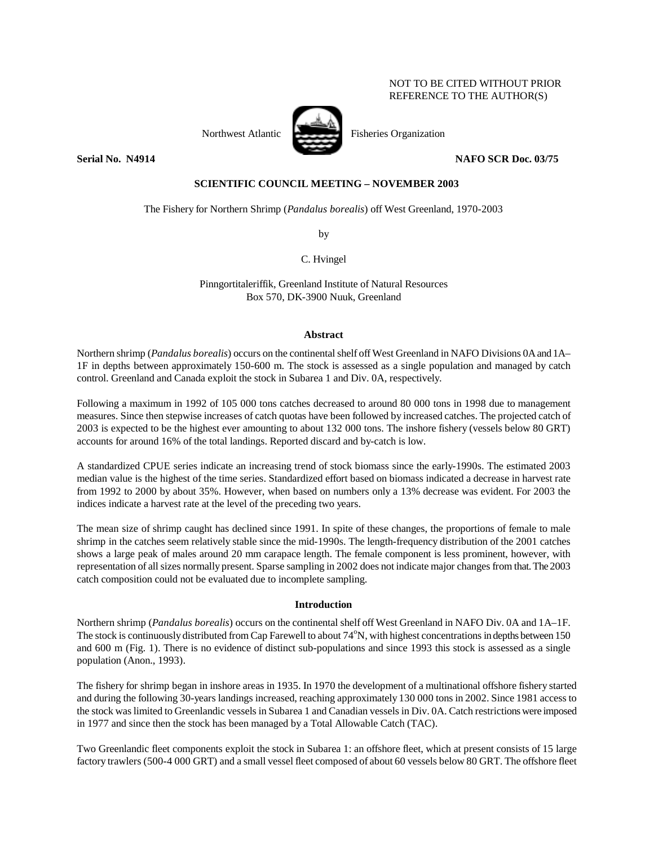## NOT TO BE CITED WITHOUT PRIOR REFERENCE TO THE AUTHOR(S)



**Serial No. 14914 NAFO SCR Doc. 03/75** 

## **SCIENTIFIC COUNCIL MEETING – NOVEMBER 2003**

The Fishery for Northern Shrimp (*Pandalus borealis*) off West Greenland, 1970-2003

by

C. Hvingel

Pinngortitaleriffik, Greenland Institute of Natural Resources Box 570, DK-3900 Nuuk, Greenland

## **Abstract**

Northern shrimp (*Pandalus borealis*) occurs on the continental shelf off West Greenland in NAFO Divisions 0A and 1A– 1F in depths between approximately 150-600 m. The stock is assessed as a single population and managed by catch control. Greenland and Canada exploit the stock in Subarea 1 and Div. 0A, respectively.

Following a maximum in 1992 of 105 000 tons catches decreased to around 80 000 tons in 1998 due to management measures. Since then stepwise increases of catch quotas have been followed by increased catches. The projected catch of 2003 is expected to be the highest ever amounting to about 132 000 tons. The inshore fishery (vessels below 80 GRT) accounts for around 16% of the total landings. Reported discard and by-catch is low.

A standardized CPUE series indicate an increasing trend of stock biomass since the early-1990s. The estimated 2003 median value is the highest of the time series. Standardized effort based on biomass indicated a decrease in harvest rate from 1992 to 2000 by about 35%. However, when based on numbers only a 13% decrease was evident. For 2003 the indices indicate a harvest rate at the level of the preceding two years.

The mean size of shrimp caught has declined since 1991. In spite of these changes, the proportions of female to male shrimp in the catches seem relatively stable since the mid-1990s. The length-frequency distribution of the 2001 catches shows a large peak of males around 20 mm carapace length. The female component is less prominent, however, with representation of all sizes normally present. Sparse sampling in 2002 does not indicate major changes from that. The 2003 catch composition could not be evaluated due to incomplete sampling.

# **Introduction**

Northern shrimp (*Pandalus borealis*) occurs on the continental shelf off West Greenland in NAFO Div. 0A and 1A–1F. The stock is continuously distributed from Cap Farewell to about 74<sup>o</sup>N, with highest concentrations in depths between 150 and 600 m (Fig. 1). There is no evidence of distinct sub-populations and since 1993 this stock is assessed as a single population (Anon., 1993).

The fishery for shrimp began in inshore areas in 1935. In 1970 the development of a multinational offshore fishery started and during the following 30-years landings increased, reaching approximately 130 000 tons in 2002. Since 1981 access to the stock was limited to Greenlandic vessels in Subarea 1 and Canadian vessels in Div. 0A. Catch restrictions were imposed in 1977 and since then the stock has been managed by a Total Allowable Catch (TAC).

Two Greenlandic fleet components exploit the stock in Subarea 1: an offshore fleet, which at present consists of 15 large factory trawlers (500-4 000 GRT) and a small vessel fleet composed of about 60 vessels below 80 GRT. The offshore fleet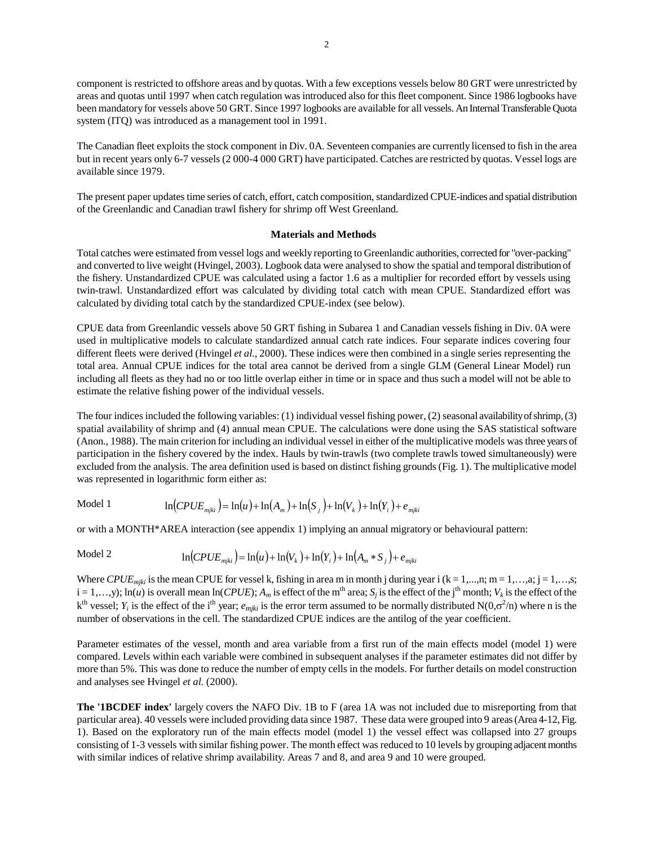component is restricted to offshore areas and by quotas. With a few exceptions vessels below 80 GRT were unrestricted by areas and quotas until 1997 when catch regulation was introduced also for this fleet component. Since 1986 logbooks have been mandatory for vessels above 50 GRT. Since 1997 logbooks are available for all vessels. An Internal Transferable Quota system (ITQ) was introduced as a management tool in 1991.

The Canadian fleet exploits the stock component in Div. 0A. Seventeen companies are currently licensed to fish in the area but in recent years only 6-7 vessels (2 000-4 000 GRT) have participated. Catches are restricted by quotas. Vessel logs are available since 1979.

The present paper updates time series of catch, effort, catch composition, standardized CPUE-indices and spatial distribution of the Greenlandic and Canadian trawl fishery for shrimp off West Greenland.

### **Materials and Methods**

Total catches were estimated from vessel logs and weekly reporting to Greenlandic authorities, corrected for "over-packing" and converted to live weight (Hvingel, 2003). Logbook data were analysed to show the spatial and temporal distribution of the fishery. Unstandardized CPUE was calculated using a factor 1.6 as a multiplier for recorded effort by vessels using twin-trawl. Unstandardized effort was calculated by dividing total catch with mean CPUE. Standardized effort was calculated by dividing total catch by the standardized CPUE-index (see below).

CPUE data from Greenlandic vessels above 50 GRT fishing in Subarea 1 and Canadian vessels fishing in Div. 0A were used in multiplicative models to calculate standardized annual catch rate indices. Four separate indices covering four different fleets were derived (Hvingel *et al.,* 2000). These indices were then combined in a single series representing the total area. Annual CPUE indices for the total area cannot be derived from a single GLM (General Linear Model) run including all fleets as they had no or too little overlap either in time or in space and thus such a model will not be able to estimate the relative fishing power of the individual vessels.

The four indices included the following variables: (1) individual vessel fishing power, (2) seasonal availability of shrimp, (3) spatial availability of shrimp and (4) annual mean CPUE. The calculations were done using the SAS statistical software (Anon., 1988). The main criterion for including an individual vessel in either of the multiplicative models was three years of participation in the fishery covered by the index. Hauls by twin-trawls (two complete trawls towed simultaneously) were excluded from the analysis. The area definition used is based on distinct fishing grounds (Fig. 1). The multiplicative model was represented in logarithmic form either as:

Model 1 
$$
\ln(CPUE_{miki}) = \ln(u) + \ln(A_m) + \ln(S_i) + \ln(V_k) + \ln(Y_i) + e_{miki}
$$

or with a MONTH\*AREA interaction (see appendix 1) implying an annual migratory or behavioural pattern:

Model 2 
$$
\ln(CPUE_{mjki}) = \ln(u) + \ln(V_k) + \ln(Y_i) + \ln(A_m * S_j) + e_{mjk}
$$

Where *CPUE<sub>mjki</sub>* is the mean CPUE for vessel k, fishing in area m in month j during year i (k = 1,...,n; m = 1,...,a; j = 1,...,s;  $i = 1,...,y$ ;  $\ln(u)$  is overall mean  $\ln(CPUE)$ ;  $A_m$  is effect of the m<sup>th</sup> area;  $S_j$  is the effect of the j<sup>th</sup> month;  $V_k$  is the effect of the  $k<sup>th</sup>$  vessel;  $Y_i$  is the effect of the i<sup>th</sup> year;  $e_{mjki}$  is the error term assumed to be normally distributed N(0, $\sigma^2/n$ ) where n is the number of observations in the cell. The standardized CPUE indices are the antilog of the year coefficient.

Parameter estimates of the vessel, month and area variable from a first run of the main effects model (model 1) were compared. Levels within each variable were combined in subsequent analyses if the parameter estimates did not differ by more than 5%. This was done to reduce the number of empty cells in the models. For further details on model construction and analyses see Hvingel *et al.* (2000).

**The '1BCDEF index'** largely covers the NAFO Div. 1B to F (area 1A was not included due to misreporting from that particular area). 40 vessels were included providing data since 1987. These data were grouped into 9 areas (Area 4-12, Fig. 1). Based on the exploratory run of the main effects model (model 1) the vessel effect was collapsed into 27 groups consisting of 1-3 vessels with similar fishing power. The month effect was reduced to 10 levels by grouping adjacent months with similar indices of relative shrimp availability. Areas 7 and 8, and area 9 and 10 were grouped.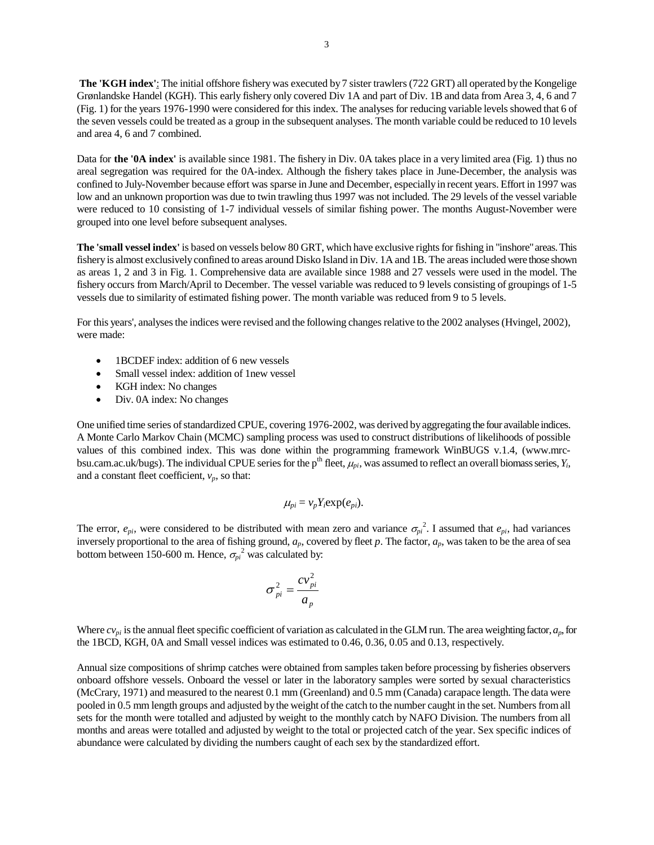**The 'KGH index'**: The initial offshore fishery was executed by 7 sister trawlers (722 GRT) all operated by the Kongelige Grønlandske Handel (KGH). This early fishery only covered Div 1A and part of Div. 1B and data from Area 3, 4, 6 and 7 (Fig. 1) for the years 1976-1990 were considered for this index. The analyses for reducing variable levels showed that 6 of the seven vessels could be treated as a group in the subsequent analyses. The month variable could be reduced to 10 levels and area 4, 6 and 7 combined.

Data for **the '0A index'** is available since 1981. The fishery in Div. 0A takes place in a very limited area (Fig. 1) thus no areal segregation was required for the 0A-index. Although the fishery takes place in June-December, the analysis was confined to July-November because effort was sparse in June and December, especially in recent years. Effort in 1997 was low and an unknown proportion was due to twin trawling thus 1997 was not included. The 29 levels of the vessel variable were reduced to 10 consisting of 1-7 individual vessels of similar fishing power. The months August-November were grouped into one level before subsequent analyses.

**The 'small vessel index'** is based on vessels below 80 GRT, which have exclusive rights for fishing in "inshore" areas. This fishery is almost exclusively confined to areas around Disko Island in Div. 1A and 1B. The areas included were those shown as areas 1, 2 and 3 in Fig. 1. Comprehensive data are available since 1988 and 27 vessels were used in the model. The fishery occurs from March/April to December. The vessel variable was reduced to 9 levels consisting of groupings of 1-5 vessels due to similarity of estimated fishing power. The month variable was reduced from 9 to 5 levels.

For this years', analyses the indices were revised and the following changes relative to the 2002 analyses (Hvingel, 2002), were made:

- 1BCDEF index: addition of 6 new vessels
- Small vessel index: addition of 1new vessel
- KGH index: No changes
- Div. 0A index: No changes

One unified time series of standardized CPUE, covering 1976-2002, was derived by aggregating the four available indices. A Monte Carlo Markov Chain (MCMC) sampling process was used to construct distributions of likelihoods of possible values of this combined index. This was done within the programming framework WinBUGS v.1.4, (www.mrcbsu.cam.ac.uk/bugs). The individual CPUE series for the p<sup>th</sup> fleet,  $\mu_{pi}$ , was assumed to reflect an overall biomass series,  $Y_i$ , and a constant fleet coefficient,  $v_p$ , so that:

$$
\mu_{pi} = v_p Y_i \exp(e_{pi}).
$$

The error,  $e_{pi}$ , were considered to be distributed with mean zero and variance  $\sigma_{pi}^2$ . I assumed that  $e_{pi}$ , had variances inversely proportional to the area of fishing ground, *ap*, covered by fleet *p*. The factor, *ap*, was taken to be the area of sea bottom between 150-600 m. Hence,  $\sigma_{pi}^2$  was calculated by:

$$
\sigma_{pi}^2 = \frac{cv_{pi}^2}{a_p}
$$

Where *cvpi* is the annual fleet specific coefficient of variation as calculated in the GLM run. The area weighting factor, *ap*, for the 1BCD, KGH, 0A and Small vessel indices was estimated to 0.46, 0.36, 0.05 and 0.13, respectively.

Annual size compositions of shrimp catches were obtained from samples taken before processing by fisheries observers onboard offshore vessels. Onboard the vessel or later in the laboratory samples were sorted by sexual characteristics (McCrary, 1971) and measured to the nearest 0.1 mm (Greenland) and 0.5 mm (Canada) carapace length. The data were pooled in 0.5 mm length groups and adjusted by the weight of the catch to the number caught in the set. Numbers from all sets for the month were totalled and adjusted by weight to the monthly catch by NAFO Division. The numbers from all months and areas were totalled and adjusted by weight to the total or projected catch of the year. Sex specific indices of abundance were calculated by dividing the numbers caught of each sex by the standardized effort.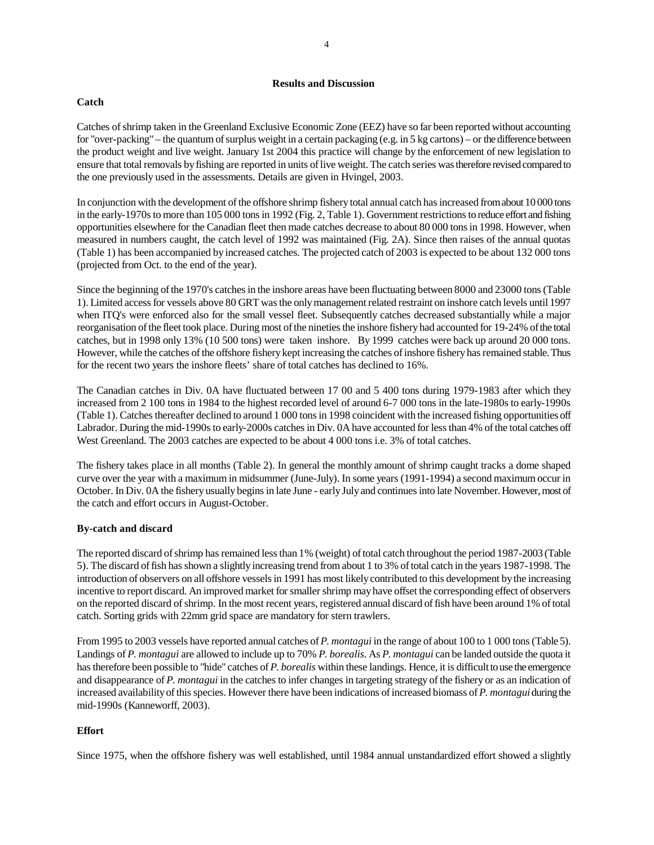#### **Results and Discussion**

# **Catch**

Catches of shrimp taken in the Greenland Exclusive Economic Zone (EEZ) have so far been reported without accounting for "over-packing" – the quantum of surplus weight in a certain packaging (e.g. in 5 kg cartons) – or the difference between the product weight and live weight. January 1st 2004 this practice will change by the enforcement of new legislation to ensure that total removals by fishing are reported in units of live weight. The catch series was therefore revised compared to the one previously used in the assessments. Details are given in Hvingel, 2003.

In conjunction with the development of the offshore shrimp fishery total annual catch has increased from about 10 000 tons in the early-1970s to more than 105 000 tons in 1992 (Fig. 2, Table 1). Government restrictions to reduce effort and fishing opportunities elsewhere for the Canadian fleet then made catches decrease to about 80 000 tons in 1998. However, when measured in numbers caught, the catch level of 1992 was maintained (Fig. 2A). Since then raises of the annual quotas (Table 1) has been accompanied by increased catches. The projected catch of 2003 is expected to be about 132 000 tons (projected from Oct. to the end of the year).

Since the beginning of the 1970's catches in the inshore areas have been fluctuating between 8000 and 23000 tons (Table 1). Limited access for vessels above 80 GRT was the only management related restraint on inshore catch levels until 1997 when ITQ's were enforced also for the small vessel fleet. Subsequently catches decreased substantially while a major reorganisation of the fleet took place. During most of the nineties the inshore fishery had accounted for 19-24% of the total catches, but in 1998 only 13% (10 500 tons) were taken inshore. By 1999 catches were back up around 20 000 tons. However, while the catches of the offshore fishery kept increasing the catches of inshore fishery has remained stable. Thus for the recent two years the inshore fleets' share of total catches has declined to 16%.

The Canadian catches in Div. 0A have fluctuated between 17 00 and 5 400 tons during 1979-1983 after which they increased from 2 100 tons in 1984 to the highest recorded level of around 6-7 000 tons in the late-1980s to early-1990s (Table 1). Catches thereafter declined to around 1 000 tons in 1998 coincident with the increased fishing opportunities off Labrador. During the mid-1990s to early-2000s catches in Div. 0A have accounted for less than 4% of the total catches off West Greenland. The 2003 catches are expected to be about 4 000 tons i.e. 3% of total catches.

The fishery takes place in all months (Table 2). In general the monthly amount of shrimp caught tracks a dome shaped curve over the year with a maximum in midsummer (June-July). In some years (1991-1994) a second maximum occur in October. In Div. 0A the fishery usually begins in late June - early July and continues into late November. However, most of the catch and effort occurs in August-October.

# **By-catch and discard**

The reported discard of shrimp has remained less than 1% (weight) of total catch throughout the period 1987-2003 (Table 5). The discard of fish has shown a slightly increasing trend from about 1 to 3% of total catch in the years 1987-1998. The introduction of observers on all offshore vessels in 1991 has most likely contributed to this development by the increasing incentive to report discard. An improved market for smaller shrimp may have offset the corresponding effect of observers on the reported discard of shrimp. In the most recent years, registered annual discard of fish have been around 1% of total catch. Sorting grids with 22mm grid space are mandatory for stern trawlers.

From 1995 to 2003 vessels have reported annual catches of *P. montagui* in the range of about 100 to 1 000 tons (Table 5). Landings of *P. montagui* are allowed to include up to 70% *P. borealis*. As *P. montagui* can be landed outside the quota it has therefore been possible to "hide" catches of *P. borealis* within these landings. Hence, it is difficult to use the emergence and disappearance of *P. montagui* in the catches to infer changes in targeting strategy of the fishery or as an indication of increased availability of this species. However there have been indications of increased biomass of *P. montagui* during the mid-1990s (Kanneworff, 2003).

# **Effort**

Since 1975, when the offshore fishery was well established, until 1984 annual unstandardized effort showed a slightly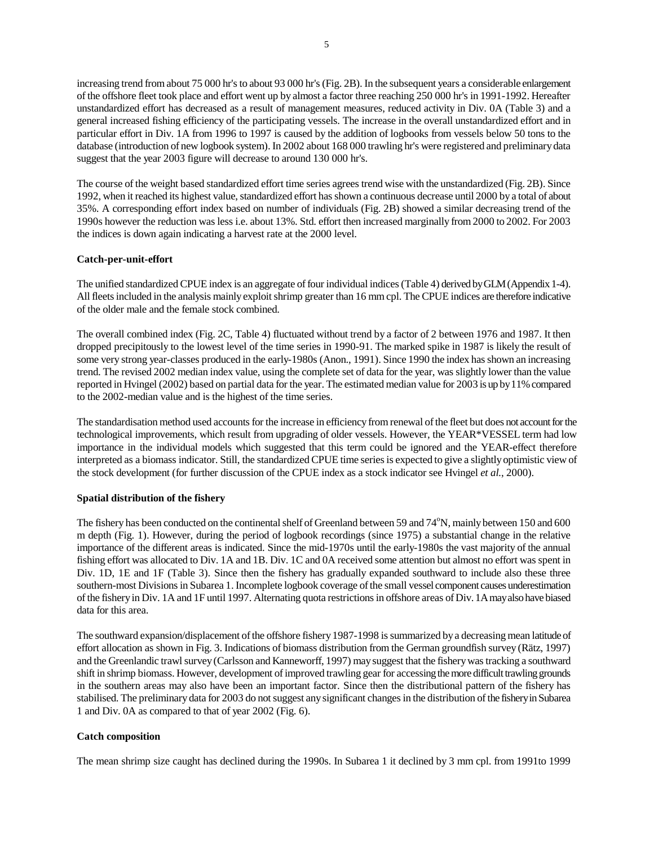increasing trend from about 75 000 hr's to about 93 000 hr's (Fig. 2B). In the subsequent years a considerable enlargement of the offshore fleet took place and effort went up by almost a factor three reaching 250 000 hr's in 1991-1992. Hereafter unstandardized effort has decreased as a result of management measures, reduced activity in Div. 0A (Table 3) and a general increased fishing efficiency of the participating vessels. The increase in the overall unstandardized effort and in particular effort in Div. 1A from 1996 to 1997 is caused by the addition of logbooks from vessels below 50 tons to the database (introduction of new logbook system). In 2002 about 168 000 trawling hr's were registered and preliminary data suggest that the year 2003 figure will decrease to around 130 000 hr's.

The course of the weight based standardized effort time series agrees trend wise with the unstandardized (Fig. 2B). Since 1992, when it reached its highest value, standardized effort has shown a continuous decrease until 2000 by a total of about 35%. A corresponding effort index based on number of individuals (Fig. 2B) showed a similar decreasing trend of the 1990s however the reduction was less i.e. about 13%. Std. effort then increased marginally from 2000 to 2002. For 2003 the indices is down again indicating a harvest rate at the 2000 level.

#### **Catch-per-unit-effort**

The unified standardized CPUE index is an aggregate of four individual indices (Table 4) derived by GLM (Appendix 1-4). All fleets included in the analysis mainly exploit shrimp greater than 16 mm cpl. The CPUE indices are therefore indicative of the older male and the female stock combined.

The overall combined index (Fig. 2C, Table 4) fluctuated without trend by a factor of 2 between 1976 and 1987. It then dropped precipitously to the lowest level of the time series in 1990-91. The marked spike in 1987 is likely the result of some very strong year-classes produced in the early-1980s (Anon., 1991). Since 1990 the index has shown an increasing trend. The revised 2002 median index value, using the complete set of data for the year, was slightly lower than the value reported in Hvingel (2002) based on partial data for the year. The estimated median value for 2003 is up by 11% compared to the 2002-median value and is the highest of the time series.

The standardisation method used accounts for the increase in efficiency from renewal of the fleet but does not account for the technological improvements, which result from upgrading of older vessels. However, the YEAR\*VESSEL term had low importance in the individual models which suggested that this term could be ignored and the YEAR-effect therefore interpreted as a biomass indicator. Still, the standardized CPUE time series is expected to give a slightly optimistic view of the stock development (for further discussion of the CPUE index as a stock indicator see Hvingel *et al.*, 2000).

### **Spatial distribution of the fishery**

The fishery has been conducted on the continental shelf of Greenland between 59 and 74°N, mainly between 150 and 600 m depth (Fig. 1). However, during the period of logbook recordings (since 1975) a substantial change in the relative importance of the different areas is indicated. Since the mid-1970s until the early-1980s the vast majority of the annual fishing effort was allocated to Div. 1A and 1B. Div. 1C and 0A received some attention but almost no effort was spent in Div. 1D, 1E and 1F (Table 3). Since then the fishery has gradually expanded southward to include also these three southern-most Divisions in Subarea 1. Incomplete logbook coverage of the small vessel component causes underestimation of the fishery in Div. 1A and 1F until 1997. Alternating quota restrictions in offshore areas of Div. 1A may also have biased data for this area.

The southward expansion/displacement of the offshore fishery 1987-1998 is summarized by a decreasing mean latitude of effort allocation as shown in Fig. 3. Indications of biomass distribution from the German groundfish survey (Rätz, 1997) and the Greenlandic trawl survey (Carlsson and Kanneworff, 1997) may suggest that the fishery was tracking a southward shift in shrimp biomass. However, development of improved trawling gear for accessing the more difficult trawling grounds in the southern areas may also have been an important factor. Since then the distributional pattern of the fishery has stabilised. The preliminary data for 2003 do not suggest any significant changes in the distribution of the fishery in Subarea 1 and Div. 0A as compared to that of year 2002 (Fig. 6).

#### **Catch composition**

The mean shrimp size caught has declined during the 1990s. In Subarea 1 it declined by 3 mm cpl. from 1991to 1999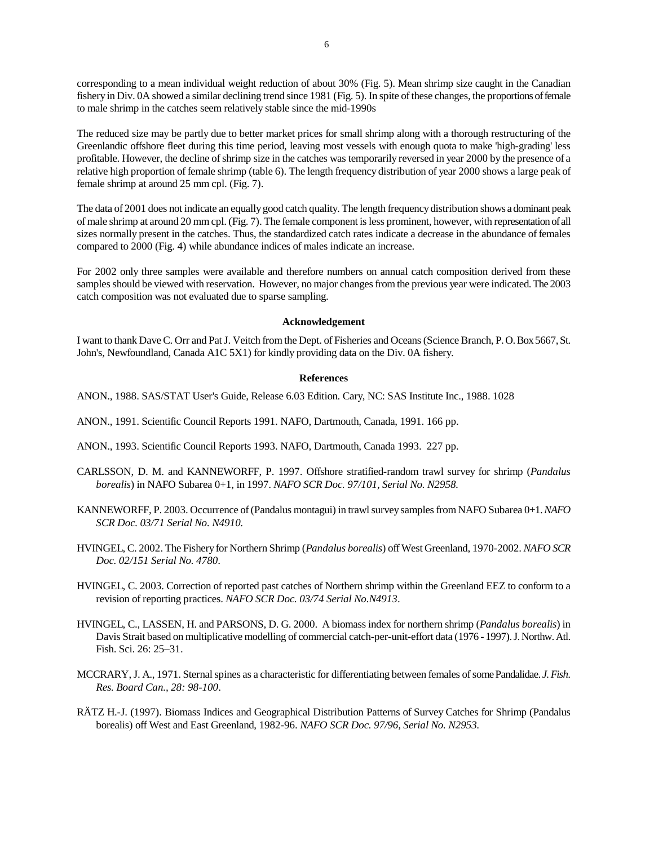corresponding to a mean individual weight reduction of about 30% (Fig. 5). Mean shrimp size caught in the Canadian fishery in Div. 0A showed a similar declining trend since 1981 (Fig. 5). In spite of these changes, the proportions of female to male shrimp in the catches seem relatively stable since the mid-1990s

The reduced size may be partly due to better market prices for small shrimp along with a thorough restructuring of the Greenlandic offshore fleet during this time period, leaving most vessels with enough quota to make 'high-grading' less profitable. However, the decline of shrimp size in the catches was temporarily reversed in year 2000 by the presence of a relative high proportion of female shrimp (table 6). The length frequency distribution of year 2000 shows a large peak of female shrimp at around 25 mm cpl. (Fig. 7).

The data of 2001 does not indicate an equally good catch quality. The length frequency distribution shows a dominant peak of male shrimp at around 20 mm cpl. (Fig. 7). The female component is less prominent, however, with representation of all sizes normally present in the catches. Thus, the standardized catch rates indicate a decrease in the abundance of females compared to 2000 (Fig. 4) while abundance indices of males indicate an increase.

For 2002 only three samples were available and therefore numbers on annual catch composition derived from these samples should be viewed with reservation. However, no major changes from the previous year were indicated. The 2003 catch composition was not evaluated due to sparse sampling.

### **Acknowledgement**

I want to thank Dave C. Orr and Pat J. Veitch from the Dept. of Fisheries and Oceans (Science Branch, P. O. Box 5667, St. John's, Newfoundland, Canada A1C 5X1) for kindly providing data on the Div. 0A fishery.

#### **References**

- ANON., 1988. SAS/STAT User's Guide, Release 6.03 Edition. Cary, NC: SAS Institute Inc., 1988. 1028
- ANON., 1991. Scientific Council Reports 1991. NAFO, Dartmouth, Canada, 1991. 166 pp.
- ANON., 1993. Scientific Council Reports 1993. NAFO, Dartmouth, Canada 1993. 227 pp.
- CARLSSON, D. M. and KANNEWORFF, P. 1997. Offshore stratified-random trawl survey for shrimp (*Pandalus borealis*) in NAFO Subarea 0+1, in 1997. *NAFO SCR Doc. 97/101, Serial No. N2958.*
- KANNEWORFF, P. 2003. Occurrence of (Pandalus montagui) in trawl survey samples from NAFO Subarea 0+1. *NAFO SCR Doc. 03/71 Serial No. N4910.*
- HVINGEL, C. 2002. The Fishery for Northern Shrimp (*Pandalus borealis*) off West Greenland, 1970-2002. *NAFO SCR Doc. 02/151 Serial No. 4780*.
- HVINGEL, C. 2003. Correction of reported past catches of Northern shrimp within the Greenland EEZ to conform to a revision of reporting practices. *NAFO SCR Doc. 03/74 Serial No.N4913*.
- HVINGEL, C., LASSEN, H. and PARSONS, D. G. 2000. A biomass index for northern shrimp (*Pandalus borealis*) in Davis Strait based on multiplicative modelling of commercial catch-per-unit-effort data (1976 - 1997). J. Northw. Atl. Fish. Sci. 26: 25–31.
- MCCRARY, J. A., 1971. Sternal spines as a characteristic for differentiating between females of some Pandalidae. *J. Fish. Res. Board Can., 28: 98-100*.
- RÄTZ H.-J. (1997). Biomass Indices and Geographical Distribution Patterns of Survey Catches for Shrimp (Pandalus borealis) off West and East Greenland, 1982-96. *NAFO SCR Doc. 97/96, Serial No. N2953.*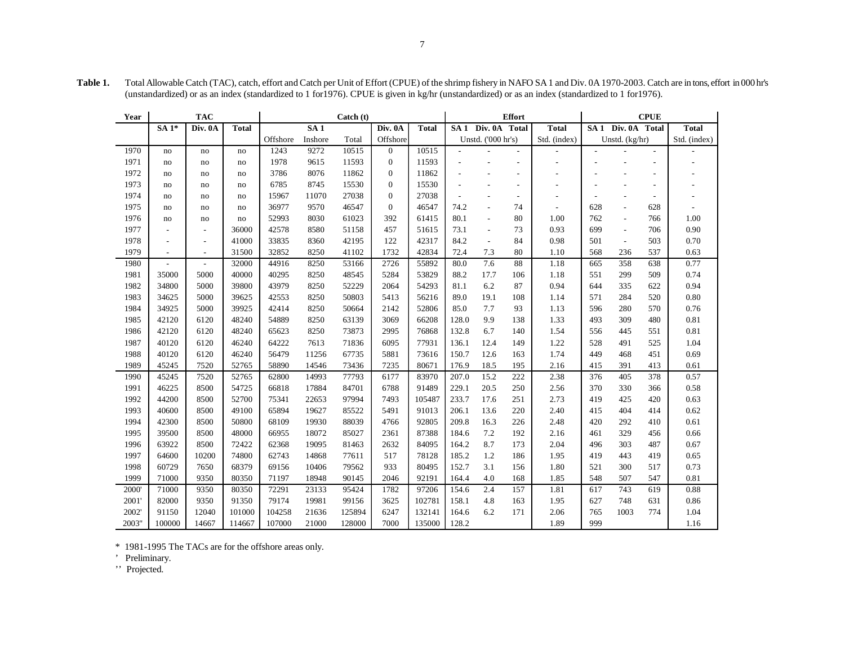| Year  |                          | <b>TAC</b>               |              | $\text{Catch}$ (t) |         |        |                | <b>Effort</b> |                |                    | <b>CPUE</b>              |                          |     |                               |                |              |
|-------|--------------------------|--------------------------|--------------|--------------------|---------|--------|----------------|---------------|----------------|--------------------|--------------------------|--------------------------|-----|-------------------------------|----------------|--------------|
|       | $SA1*$                   | Div. 0A                  | <b>Total</b> |                    | SA1     |        | Div. 0A        | <b>Total</b>  |                | SA 1 Div. 0A Total |                          | <b>Total</b>             |     | SA <sub>1</sub> Div. 0A Total |                | <b>Total</b> |
|       |                          |                          |              | Offshore           | Inshore | Total  | Offshore       |               |                | Unstd. ('000 hr's) |                          | Std. (index)             |     | Unstd. (kg/hr)                |                | Std. (index) |
| 1970  | no                       | no                       | no           | 1243               | 9272    | 10515  | $\overline{0}$ | 10515         | ÷              |                    | $\overline{a}$           |                          |     |                               | $\overline{a}$ |              |
| 1971  | no                       | no                       | no           | 1978               | 9615    | 11593  | $\mathbf{0}$   | 11593         |                |                    | $\overline{a}$           |                          |     |                               | $\overline{a}$ |              |
| 1972  | no                       | no                       | no           | 3786               | 8076    | 11862  | $\mathbf{0}$   | 11862         | $\overline{a}$ |                    | $\overline{a}$           | $\overline{a}$           |     |                               | $\overline{a}$ |              |
| 1973  | no                       | no                       | no           | 6785               | 8745    | 15530  | $\mathbf{0}$   | 15530         | $\overline{a}$ |                    | $\overline{\phantom{a}}$ | $\overline{\phantom{a}}$ |     | $\overline{a}$                | $\overline{a}$ |              |
| 1974  | no                       | no                       | no           | 15967              | 11070   | 27038  | $\mathbf{0}$   | 27038         | $\sim$         |                    | $\overline{a}$           | $\overline{a}$           |     | $\overline{a}$                |                |              |
| 1975  | no                       | no                       | no           | 36977              | 9570    | 46547  | $\mathbf{0}$   | 46547         | 74.2           |                    | 74                       |                          | 628 | $\overline{a}$                | 628            |              |
| 1976  | no                       | no                       | no           | 52993              | 8030    | 61023  | 392            | 61415         | 80.1           |                    | 80                       | 1.00                     | 762 | $\overline{\phantom{a}}$      | 766            | 1.00         |
| 1977  | $\overline{a}$           | $\overline{\phantom{a}}$ | 36000        | 42578              | 8580    | 51158  | 457            | 51615         | 73.1           | $\sim$             | 73                       | 0.93                     | 699 | $\overline{a}$                | 706            | 0.90         |
| 1978  |                          | $\overline{\phantom{a}}$ | 41000        | 33835              | 8360    | 42195  | 122            | 42317         | 84.2           | $\sim$             | 84                       | 0.98                     | 501 | $\overline{\phantom{a}}$      | 503            | 0.70         |
| 1979  |                          |                          | 31500        | 32852              | 8250    | 41102  | 1732           | 42834         | 72.4           | 7.3                | 80                       | 1.10                     | 568 | 236                           | 537            | 0.63         |
| 1980  | $\overline{\phantom{a}}$ |                          | 32000        | 44916              | 8250    | 53166  | 2726           | 55892         | 80.0           | 7.6                | 88                       | 1.18                     | 665 | 358                           | 638            | 0.77         |
| 1981  | 35000                    | 5000                     | 40000        | 40295              | 8250    | 48545  | 5284           | 53829         | 88.2           | 17.7               | 106                      | 1.18                     | 551 | 299                           | 509            | 0.74         |
| 1982  | 34800                    | 5000                     | 39800        | 43979              | 8250    | 52229  | 2064           | 54293         | 81.1           | 6.2                | 87                       | 0.94                     | 644 | 335                           | 622            | 0.94         |
| 1983  | 34625                    | 5000                     | 39625        | 42553              | 8250    | 50803  | 5413           | 56216         | 89.0           | 19.1               | 108                      | 1.14                     | 571 | 284                           | 520            | 0.80         |
| 1984  | 34925                    | 5000                     | 39925        | 42414              | 8250    | 50664  | 2142           | 52806         | 85.0           | 7.7                | 93                       | 1.13                     | 596 | 280                           | 570            | 0.76         |
| 1985  | 42120                    | 6120                     | 48240        | 54889              | 8250    | 63139  | 3069           | 66208         | 128.0          | 9.9                | 138                      | 1.33                     | 493 | 309                           | 480            | 0.81         |
| 1986  | 42120                    | 6120                     | 48240        | 65623              | 8250    | 73873  | 2995           | 76868         | 132.8          | 6.7                | 140                      | 1.54                     | 556 | 445                           | 551            | 0.81         |
| 1987  | 40120                    | 6120                     | 46240        | 64222              | 7613    | 71836  | 6095           | 77931         | 136.1          | 12.4               | 149                      | 1.22                     | 528 | 491                           | 525            | 1.04         |
| 1988  | 40120                    | 6120                     | 46240        | 56479              | 11256   | 67735  | 5881           | 73616         | 150.7          | 12.6               | 163                      | 1.74                     | 449 | 468                           | 451            | 0.69         |
| 1989  | 45245                    | 7520                     | 52765        | 58890              | 14546   | 73436  | 7235           | 80671         | 176.9          | 18.5               | 195                      | 2.16                     | 415 | 391                           | 413            | 0.61         |
| 1990  | 45245                    | 7520                     | 52765        | 62800              | 14993   | 77793  | 6177           | 83970         | 207.0          | 15.2               | 222                      | 2.38                     | 376 | 405                           | 378            | 0.57         |
| 1991  | 46225                    | 8500                     | 54725        | 66818              | 17884   | 84701  | 6788           | 91489         | 229.1          | 20.5               | 250                      | 2.56                     | 370 | 330                           | 366            | 0.58         |
| 1992  | 44200                    | 8500                     | 52700        | 75341              | 22653   | 97994  | 7493           | 105487        | 233.7          | 17.6               | 251                      | 2.73                     | 419 | 425                           | 420            | 0.63         |
| 1993  | 40600                    | 8500                     | 49100        | 65894              | 19627   | 85522  | 5491           | 91013         | 206.1          | 13.6               | 220                      | 2.40                     | 415 | 404                           | 414            | 0.62         |
| 1994  | 42300                    | 8500                     | 50800        | 68109              | 19930   | 88039  | 4766           | 92805         | 209.8          | 16.3               | 226                      | 2.48                     | 420 | 292                           | 410            | 0.61         |
| 1995  | 39500                    | 8500                     | 48000        | 66955              | 18072   | 85027  | 2361           | 87388         | 184.6          | 7.2                | 192                      | 2.16                     | 461 | 329                           | 456            | 0.66         |
| 1996  | 63922                    | 8500                     | 72422        | 62368              | 19095   | 81463  | 2632           | 84095         | 164.2          | 8.7                | 173                      | 2.04                     | 496 | 303                           | 487            | 0.67         |
| 1997  | 64600                    | 10200                    | 74800        | 62743              | 14868   | 77611  | 517            | 78128         | 185.2          | 1.2                | 186                      | 1.95                     | 419 | 443                           | 419            | 0.65         |
| 1998  | 60729                    | 7650                     | 68379        | 69156              | 10406   | 79562  | 933            | 80495         | 152.7          | 3.1                | 156                      | 1.80                     | 521 | 300                           | 517            | 0.73         |
| 1999  | 71000                    | 9350                     | 80350        | 71197              | 18948   | 90145  | 2046           | 92191         | 164.4          | 4.0                | 168                      | 1.85                     | 548 | 507                           | 547            | 0.81         |
| 2000' | 71000                    | 9350                     | 80350        | 72291              | 23133   | 95424  | 1782           | 97206         | 154.6          | 2.4                | 157                      | 1.81                     | 617 | 743                           | 619            | 0.88         |
| 2001' | 82000                    | 9350                     | 91350        | 79174              | 19981   | 99156  | 3625           | 102781        | 158.1          | 4.8                | 163                      | 1.95                     | 627 | 748                           | 631            | 0.86         |
| 2002' | 91150                    | 12040                    | 101000       | 104258             | 21636   | 125894 | 6247           | 132141        | 164.6          | 6.2                | 171                      | 2.06                     | 765 | 1003                          | 774            | 1.04         |
| 2003" | 100000                   | 14667                    | 114667       | 107000             | 21000   | 128000 | 7000           | 135000        | 128.2          |                    |                          | 1.89                     | 999 |                               |                | 1.16         |

Table 1. Total Allowable Catch (TAC), catch, effort and Catch per Unit of Effort (CPUE) of the shrimp fishery in NAFO SA 1 and Div. 0A 1970-2003. Catch are in tons, effort in 000 hr's (unstandardized) or as an index (standardized to 1 for1976). CPUE is given in kg/hr (unstandardized) or as an index (standardized to 1 for1976).

\* 1981-1995 The TACs are for the offshore areas only.

' Preliminary.

'' Projected.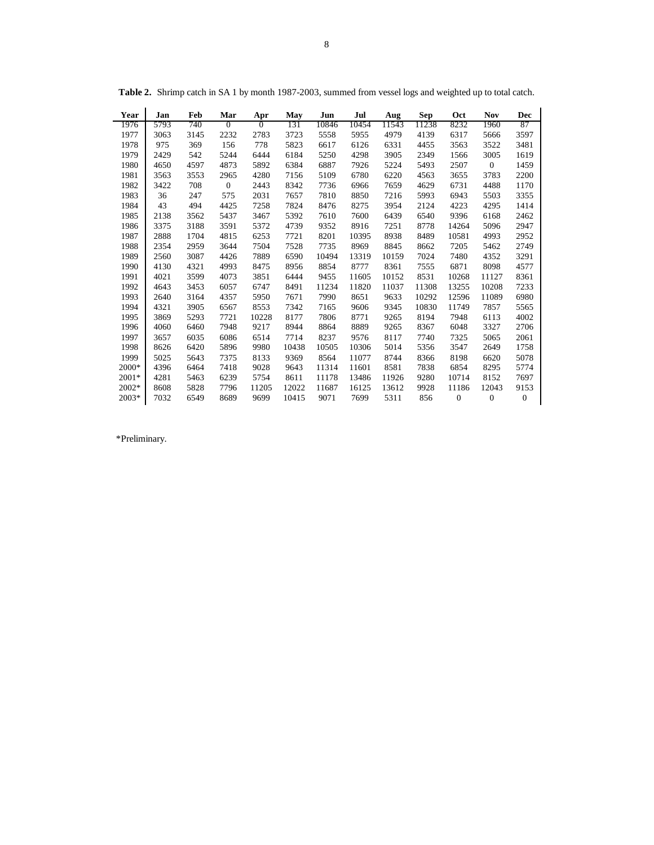| Year    | Jan  | Feb  | Mar            | Apr            | May   | Jun   | Jul   | Aug   | Sep   | Oct          | <b>Nov</b>   | Dec          |
|---------|------|------|----------------|----------------|-------|-------|-------|-------|-------|--------------|--------------|--------------|
| 1976    | 5793 | 740  | $\overline{0}$ | $\overline{0}$ | 131   | 10846 | 10454 | 11543 | 11238 | 8232         | 1960         | 87           |
| 1977    | 3063 | 3145 | 2232           | 2783           | 3723  | 5558  | 5955  | 4979  | 4139  | 6317         | 5666         | 3597         |
| 1978    | 975  | 369  | 156            | 778            | 5823  | 6617  | 6126  | 6331  | 4455  | 3563         | 3522         | 3481         |
| 1979    | 2429 | 542  | 5244           | 6444           | 6184  | 5250  | 4298  | 3905  | 2349  | 1566         | 3005         | 1619         |
| 1980    | 4650 | 4597 | 4873           | 5892           | 6384  | 6887  | 7926  | 5224  | 5493  | 2507         | $\mathbf{0}$ | 1459         |
| 1981    | 3563 | 3553 | 2965           | 4280           | 7156  | 5109  | 6780  | 6220  | 4563  | 3655         | 3783         | 2200         |
| 1982    | 3422 | 708  | $\mathbf{0}$   | 2443           | 8342  | 7736  | 6966  | 7659  | 4629  | 6731         | 4488         | 1170         |
| 1983    | 36   | 247  | 575            | 2031           | 7657  | 7810  | 8850  | 7216  | 5993  | 6943         | 5503         | 3355         |
| 1984    | 43   | 494  | 4425           | 7258           | 7824  | 8476  | 8275  | 3954  | 2124  | 4223         | 4295         | 1414         |
| 1985    | 2138 | 3562 | 5437           | 3467           | 5392  | 7610  | 7600  | 6439  | 6540  | 9396         | 6168         | 2462         |
| 1986    | 3375 | 3188 | 3591           | 5372           | 4739  | 9352  | 8916  | 7251  | 8778  | 14264        | 5096         | 2947         |
| 1987    | 2888 | 1704 | 4815           | 6253           | 7721  | 8201  | 10395 | 8938  | 8489  | 10581        | 4993         | 2952         |
| 1988    | 2354 | 2959 | 3644           | 7504           | 7528  | 7735  | 8969  | 8845  | 8662  | 7205         | 5462         | 2749         |
| 1989    | 2560 | 3087 | 4426           | 7889           | 6590  | 10494 | 13319 | 10159 | 7024  | 7480         | 4352         | 3291         |
| 1990    | 4130 | 4321 | 4993           | 8475           | 8956  | 8854  | 8777  | 8361  | 7555  | 6871         | 8098         | 4577         |
| 1991    | 4021 | 3599 | 4073           | 3851           | 6444  | 9455  | 11605 | 10152 | 8531  | 10268        | 11127        | 8361         |
| 1992    | 4643 | 3453 | 6057           | 6747           | 8491  | 11234 | 11820 | 11037 | 11308 | 13255        | 10208        | 7233         |
| 1993    | 2640 | 3164 | 4357           | 5950           | 7671  | 7990  | 8651  | 9633  | 10292 | 12596        | 11089        | 6980         |
| 1994    | 4321 | 3905 | 6567           | 8553           | 7342  | 7165  | 9606  | 9345  | 10830 | 11749        | 7857         | 5565         |
| 1995    | 3869 | 5293 | 7721           | 10228          | 8177  | 7806  | 8771  | 9265  | 8194  | 7948         | 6113         | 4002         |
| 1996    | 4060 | 6460 | 7948           | 9217           | 8944  | 8864  | 8889  | 9265  | 8367  | 6048         | 3327         | 2706         |
| 1997    | 3657 | 6035 | 6086           | 6514           | 7714  | 8237  | 9576  | 8117  | 7740  | 7325         | 5065         | 2061         |
| 1998    | 8626 | 6420 | 5896           | 9980           | 10438 | 10505 | 10306 | 5014  | 5356  | 3547         | 2649         | 1758         |
| 1999    | 5025 | 5643 | 7375           | 8133           | 9369  | 8564  | 11077 | 8744  | 8366  | 8198         | 6620         | 5078         |
| 2000*   | 4396 | 6464 | 7418           | 9028           | 9643  | 11314 | 11601 | 8581  | 7838  | 6854         | 8295         | 5774         |
| $2001*$ | 4281 | 5463 | 6239           | 5754           | 8611  | 11178 | 13486 | 11926 | 9280  | 10714        | 8152         | 7697         |
| 2002*   | 8608 | 5828 | 7796           | 11205          | 12022 | 11687 | 16125 | 13612 | 9928  | 11186        | 12043        | 9153         |
| 2003*   | 7032 | 6549 | 8689           | 9699           | 10415 | 9071  | 7699  | 5311  | 856   | $\mathbf{0}$ | $\mathbf{0}$ | $\mathbf{0}$ |

**Table 2.** Shrimp catch in SA 1 by month 1987-2003, summed from vessel logs and weighted up to total catch.

\*Preliminary.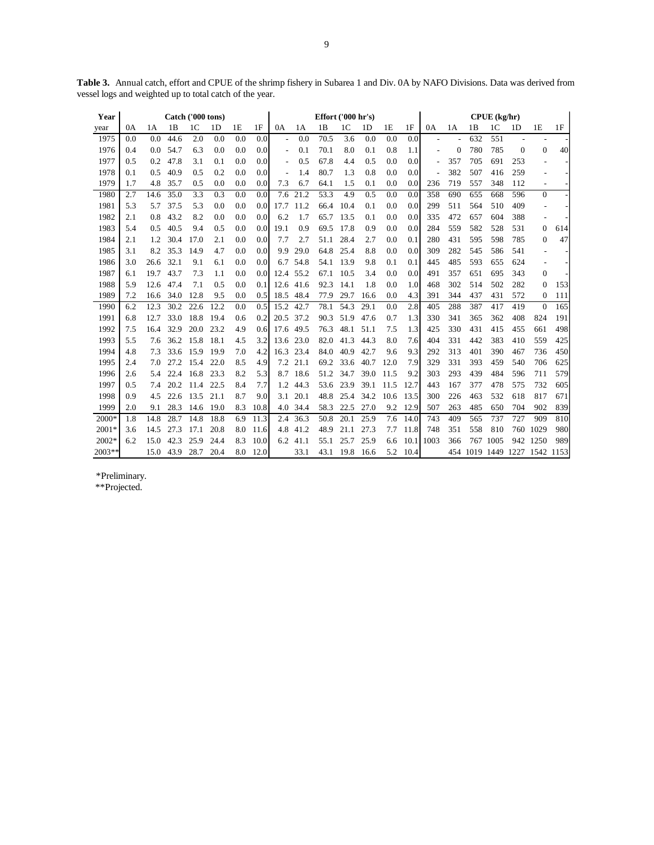| Year     |     |      | Catch ('000 tons) |                |                |     |      |                          |          | Effort ('000 hr's) |                |      |      |      | CPUE (kg/hr)             |              |     |                |          |                              |     |
|----------|-----|------|-------------------|----------------|----------------|-----|------|--------------------------|----------|--------------------|----------------|------|------|------|--------------------------|--------------|-----|----------------|----------|------------------------------|-----|
| year     | 0A  | 1A   | 1B                | 1 <sup>C</sup> | 1 <sub>D</sub> | 1E  | 1F   | 0A                       | 1A       | 1B                 | 1 <sup>C</sup> | 1D   | 1E   | 1F   | 0A                       | 1A           | 1B  | 1 <sup>C</sup> | 1D       | 1E                           | 1F  |
| 1975     | 0.0 | 0.0  | 44.6              | 2.0            | 0.0            | 0.0 | 0.0  |                          | 0.0      | 70.5               | 3.6            | 0.0  | 0.0  | 0.0  |                          |              | 632 | 551            |          |                              |     |
| 1976     | 0.4 | 0.0  | 54.7              | 6.3            | 0.0            | 0.0 | 0.0  | $\overline{\phantom{a}}$ | 0.1      | 70.1               | 8.0            | 0.1  | 0.8  | 1.1  |                          | $\mathbf{0}$ | 780 | 785            | $\Omega$ | $\overline{0}$               | 40  |
| 1977     | 0.5 | 0.2  | 47.8              | 3.1            | 0.1            | 0.0 | 0.0  | $\overline{\phantom{a}}$ | 0.5      | 67.8               | 4.4            | 0.5  | 0.0  | 0.0  | $\overline{\phantom{a}}$ | 357          | 705 | 691            | 253      |                              |     |
| 1978     | 0.1 | 0.5  | 40.9              | 0.5            | 0.2            | 0.0 | 0.0  |                          | 1.4      | 80.7               | 1.3            | 0.8  | 0.0  | 0.0  |                          | 382          | 507 | 416            | 259      |                              |     |
| 1979     | 1.7 | 4.8  | 35.7              | 0.5            | 0.0            | 0.0 | 0.0  | 7.3                      | 6.7      | 64.1               | 1.5            | 0.1  | 0.0  | 0.0  | 236                      | 719          | 557 | 348            | 112      |                              |     |
| 1980     | 2.7 | 14.6 | 35.0              | 3.3            | 0.3            | 0.0 | 0.0  | 7.6                      | 21.2     | 53.3               | 4.9            | 0.5  | 0.0  | 0.0  | 358                      | 690          | 655 | 668            | 596      | $\overline{0}$               |     |
| 1981     | 5.3 | 5.7  | 37.5              | 5.3            | 0.0            | 0.0 | 0.01 | 17.7                     | 11.2     | 66.4               | 10.4           | 0.1  | 0.0  | 0.0  | 299                      | 511          | 564 | 510            | 409      |                              |     |
| 1982     | 2.1 | 0.8  | 43.2              | 8.2            | 0.0            | 0.0 | 0.0  | 6.2                      | 1.7      | 65.7               | 13.5           | 0.1  | 0.0  | 0.0  | 335                      | 472          | 657 | 604            | 388      |                              |     |
| 1983     | 5.4 | 0.5  | 40.5              | 9.4            | 0.5            | 0.0 | 0.0  | 19.1                     | 0.9      | 69.5               | 17.8           | 0.9  | 0.0  | 0.0  | 284                      | 559          | 582 | 528            | 531      | $\Omega$                     | 614 |
| 1984     | 2.1 | 1.2  | 30.4              | 17.0           | 2.1            | 0.0 | 0.0  | 7.7                      | 2.7      | 51.1               | 28.4           | 2.7  | 0.0  | 0.1  | 280                      | 431          | 595 | 598            | 785      | $\mathbf{0}$                 | 47  |
| 1985     | 3.1 | 8.2  | 35.3              | 14.9           | 4.7            | 0.0 | 0.0  | 9.9                      | 29.0     | 64.8               | 25.4           | 8.8  | 0.0  | 0.0  | 309                      | 282          | 545 | 586            | 541      |                              |     |
| 1986     | 3.0 | 26.6 | 32.1              | 9.1            | 6.1            | 0.0 | 0.0  | 6.7                      | 54.8     | 54.1               | 13.9           | 9.8  | 0.1  | 0.1  | 445                      | 485          | 593 | 655            | 624      |                              |     |
| 1987     | 6.1 | 19.7 | 43.7              | 7.3            | 1.1            | 0.0 | 0.01 | 12.4                     | 55.2     | 67.1               | 10.5           | 3.4  | 0.0  | 0.0  | 491                      | 357          | 651 | 695            | 343      | $\Omega$                     |     |
| 1988     | 5.9 | 12.6 | 47.4              | 7.1            | 0.5            | 0.0 | 0.1  | 12.6 41.6                |          | 92.3               | 14.1           | 1.8  | 0.0  | 1.0  | 468                      | 302          | 514 | 502            | 282      | $\Omega$                     | 153 |
| 1989     | 7.2 | 16.6 | 34.0              | 12.8           | 9.5            | 0.0 | 0.5  | 18.5                     | 48.4     | 77.9               | 29.7           | 16.6 | 0.0  | 4.3  | 391                      | 344          | 437 | 431            | 572      | $\mathbf{0}$                 | 111 |
| 1990     | 6.2 | 12.3 | 30.2              | 22.6           | 12.2           | 0.0 | 0.5  | 15.2                     | 42.7     | 78.1               | 54.3           | 29.1 | 0.0  | 2.8  | 405                      | 288          | 387 | 417            | 419      | $\overline{0}$               | 165 |
| 1991     | 6.8 | 12.7 | 33.0              | 18.8           | 19.4           | 0.6 | 0.2  | 20.5 37.2                |          | 90.3               | 51.9           | 47.6 | 0.7  | 1.3  | 330                      | 341          | 365 | 362            | 408      | 824                          | 191 |
| 1992     | 7.5 | 16.4 | 32.9              | 20.0           | 23.2           | 4.9 | 0.6  | 17.6                     | 49.5     | 76.3               | 48.1           | 51.1 | 7.5  | 1.3  | 425                      | 330          | 431 | 415            | 455      | 661                          | 498 |
| 1993     | 5.5 | 7.6  | 36.2              | 15.8           | 18.1           | 4.5 | 3.2  | 13.6                     | 23.0     | 82.0               | 41.3           | 44.3 | 8.0  | 7.6  | 404                      | 331          | 442 | 383            | 410      | 559                          | 425 |
| 1994     | 4.8 | 7.3  | 33.6              | 15.9           | 19.9           | 7.0 | 4.2  | 16.3                     | 23.4     | 84.0               | 40.9           | 42.7 | 9.6  | 9.3  | 292                      | 313          | 401 | 390            | 467      | 736                          | 450 |
| 1995     | 2.4 | 7.0  | 27.2              | 15.4           | 22.0           | 8.5 | 4.9  | 7.2                      | 21.1     | 69.2               | 33.6           | 40.7 | 12.0 | 7.9  | 329                      | 331          | 393 | 459            | 540      | 706                          | 625 |
| 1996     | 2.6 | 5.4  | 22.4              | 16.8           | 23.3           | 8.2 | 5.3  | 8.7                      | 18.6     | 51.2               | 34.7           | 39.0 | 11.5 | 9.2  | 303                      | 293          | 439 | 484            | 596      | 711                          | 579 |
| 1997     | 0.5 | 7.4  | 20.2              | 11.4           | 22.5           | 8.4 | 7.7  | 1.2                      | 44.3     | 53.6               | 23.9           | 39.1 | 11.5 | 12.7 | 443                      | 167          | 377 | 478            | 575      | 732                          | 605 |
| 1998     | 0.9 | 4.5  | 22.6              | 13.5           | 21.1           | 8.7 | 9.0  | 3.1                      | 20.1     | 48.8               | 25.4           | 34.2 | 10.6 | 13.5 | 300                      | 226          | 463 | 532            | 618      | 817                          | 671 |
| 1999     | 2.0 | 9.1  | 28.3              | 14.6           | 19.0           | 8.3 | 10.8 |                          | 4.0 34.4 | 58.3               | 22.5           | 27.0 | 9.2  | 12.9 | 507                      | 263          | 485 | 650            | 704      | 902                          | 839 |
| 2000*    | 1.8 | 14.8 | 28.7              | 14.8           | 18.8           | 6.9 | 11.3 | 2.4                      | 36.3     | 50.8               | 20.1           | 25.9 | 7.6  | 14.0 | 743                      | 409          | 565 | 737            | 727      | 909                          | 810 |
| $2001*$  | 3.6 | 14.5 | 27.3              | 17.1           | 20.8           | 8.0 | 11.6 | 4.8                      | 41.2     | 48.9               | 21.1           | 27.3 | 7.7  | 11.8 | 748                      | 351          | 558 | 810            | 760      | 1029                         | 980 |
| 2002*    | 6.2 | 15.0 | 42.3              | 25.9           | 24.4           | 8.3 | 10.0 | 6.2                      | 41.1     | 55.1               | 25.7           | 25.9 | 6.6  | 10.1 | 1003                     | 366          | 767 | 1005           | 942      | 1250                         | 989 |
| $2003**$ |     | 15.0 | 43.9              | 28.7           | 20.4           | 8.0 | 12.0 |                          | 33.1     | 43.1               | 19.8           | 16.6 | 5.2  | 10.4 |                          |              |     |                |          | 454 1019 1449 1227 1542 1153 |     |

**Table 3.** Annual catch, effort and CPUE of the shrimp fishery in Subarea 1 and Div. 0A by NAFO Divisions. Data was derived from vessel logs and weighted up to total catch of the year.

\*Preliminary.

\*\*Projected.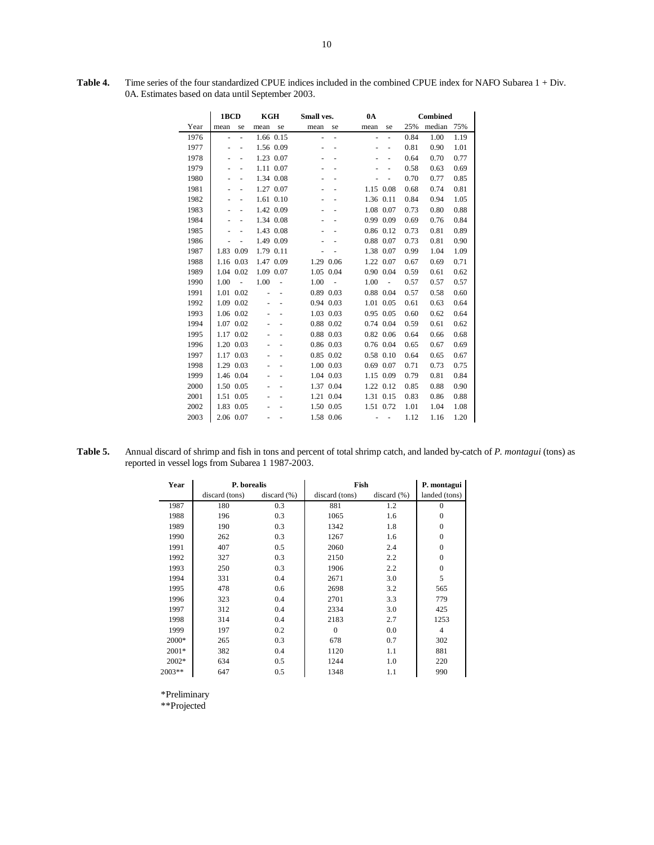|      | 1BCD      |                          | KGH  |           | Small ves. |           | 0A                       |           |      | <b>Combined</b> |      |
|------|-----------|--------------------------|------|-----------|------------|-----------|--------------------------|-----------|------|-----------------|------|
| Year | mean      | se                       | mean | se        | mean       | se        | mean                     | se        | 25%  | median          | 75%  |
| 1976 |           | L.                       |      | 1.66 0.15 |            | L,        | $\overline{\phantom{a}}$ | ÷,        | 0.84 | 1.00            | 1.19 |
| 1977 |           |                          |      | 1.56 0.09 |            |           |                          |           | 0.81 | 0.90            | 1.01 |
| 1978 |           |                          |      | 1.23 0.07 |            |           |                          | -         | 0.64 | 0.70            | 0.77 |
| 1979 |           |                          |      | 1.11 0.07 |            |           |                          |           | 0.58 | 0.63            | 0.69 |
| 1980 |           |                          |      | 1.34 0.08 |            |           |                          |           | 0.70 | 0.77            | 0.85 |
| 1981 |           |                          |      | 1.27 0.07 |            |           |                          | 1.15 0.08 | 0.68 | 0.74            | 0.81 |
| 1982 |           |                          |      | 1.61 0.10 |            |           |                          | 1.36 0.11 | 0.84 | 0.94            | 1.05 |
| 1983 |           |                          |      | 1.42 0.09 |            |           |                          | 1.08 0.07 | 0.73 | 0.80            | 0.88 |
| 1984 |           |                          |      | 1.34 0.08 |            |           |                          | 0.99 0.09 | 0.69 | 0.76            | 0.84 |
| 1985 |           |                          |      | 1.43 0.08 |            |           |                          | 0.86 0.12 | 0.73 | 0.81            | 0.89 |
| 1986 |           |                          |      | 1.49 0.09 |            |           |                          | 0.88 0.07 | 0.73 | 0.81            | 0.90 |
| 1987 | 1.83      | 0.09                     |      | 1.79 0.11 |            |           |                          | 1.38 0.07 | 0.99 | 1.04            | 1.09 |
| 1988 |           | 1.16 0.03                |      | 1.47 0.09 |            | 1.29 0.06 |                          | 1.22 0.07 | 0.67 | 0.69            | 0.71 |
| 1989 |           | 1.04 0.02                |      | 1.09 0.07 |            | 1.05 0.04 |                          | 0.90 0.04 | 0.59 | 0.61            | 0.62 |
| 1990 | 1.00      | $\overline{\phantom{a}}$ | 1.00 | ÷,        | 1.00       | ÷,        | 1.00                     | ÷,        | 0.57 | 0.57            | 0.57 |
| 1991 | 1.01      | 0.02                     |      |           |            | 0.89 0.03 |                          | 0.88 0.04 | 0.57 | 0.58            | 0.60 |
| 1992 |           | 1.09 0.02                |      |           |            | 0.94 0.03 | 1.01                     | 0.05      | 0.61 | 0.63            | 0.64 |
| 1993 |           | 1.06 0.02                |      |           |            | 1.03 0.03 |                          | 0.95 0.05 | 0.60 | 0.62            | 0.64 |
| 1994 |           | 1.07 0.02                |      |           |            | 0.88 0.02 |                          | 0.74 0.04 | 0.59 | 0.61            | 0.62 |
| 1995 |           | 1.17 0.02                |      |           |            | 0.88 0.03 |                          | 0.82 0.06 | 0.64 | 0.66            | 0.68 |
| 1996 |           | 1.20 0.03                |      |           |            | 0.86 0.03 |                          | 0.76 0.04 | 0.65 | 0.67            | 0.69 |
| 1997 |           | 1.17 0.03                |      |           |            | 0.85 0.02 |                          | 0.58 0.10 | 0.64 | 0.65            | 0.67 |
| 1998 |           | 1.29 0.03                |      |           |            | 1.00 0.03 |                          | 0.69 0.07 | 0.71 | 0.73            | 0.75 |
| 1999 |           | 1.46 0.04                |      |           |            | 1.04 0.03 |                          | 1.15 0.09 | 0.79 | 0.81            | 0.84 |
| 2000 |           | 1.50 0.05                |      |           |            | 1.37 0.04 |                          | 1.22 0.12 | 0.85 | 0.88            | 0.90 |
| 2001 |           | 1.51 0.05                |      |           |            | 1.21 0.04 |                          | 1.31 0.15 | 0.83 | 0.86            | 0.88 |
| 2002 |           | 1.83 0.05                |      |           |            | 1.50 0.05 |                          | 1.51 0.72 | 1.01 | 1.04            | 1.08 |
| 2003 | 2.06 0.07 |                          |      |           |            | 1.58 0.06 | ۰                        |           | 1.12 | 1.16            | 1.20 |

**Table 4.** Time series of the four standardized CPUE indices included in the combined CPUE index for NAFO Subarea 1 + Div. 0A. Estimates based on data until September 2003.

| Table 5. | Annual discard of shrimp and fish in tons and percent of total shrimp catch, and landed by-catch of P. montagui (tons) as |
|----------|---------------------------------------------------------------------------------------------------------------------------|
|          | reported in vessel logs from Subarea 1 1987-2003.                                                                         |

| Year    | P. borealis    |            | Fish           |                 | P. montagui    |  |
|---------|----------------|------------|----------------|-----------------|----------------|--|
|         | discard (tons) | discard(%) | discard (tons) | discard $(\% )$ | landed (tons)  |  |
| 1987    | 180            | 0.3        | 881            | 1.2             | $\Omega$       |  |
| 1988    | 196            | 0.3        | 1065           | 1.6             | $\overline{0}$ |  |
| 1989    | 190            | 0.3        | 1342           | 1.8             | $\theta$       |  |
| 1990    | 262            | 0.3        | 1267           | 1.6             | $\theta$       |  |
| 1991    | 407            | 0.5        | 2060           | 2.4             | $\mathbf{0}$   |  |
| 1992    | 327            | 0.3        | 2150           | 2.2             | $\overline{0}$ |  |
| 1993    | 250            | 0.3        | 1906           | 2.2             | $\mathbf{0}$   |  |
| 1994    | 331            | 0.4        | 2671           | 3.0             | 5              |  |
| 1995    | 478            | 0.6        | 2698           | 3.2             | 565            |  |
| 1996    | 323            | 0.4        | 2701           | 3.3             | 779            |  |
| 1997    | 312            | 0.4        | 2334           | 3.0             | 425            |  |
| 1998    | 314            | 0.4        | 2183           | 2.7             | 1253           |  |
| 1999    | 197            | 0.2        | $\Omega$       | 0.0             | 4              |  |
| 2000*   | 265            | 0.3        | 678            | 0.7             | 302            |  |
| $2001*$ | 382            | 0.4        | 1120           | 1.1             | 881            |  |
| 2002*   | 634            | 0.5        | 1244           | 1.0             | 220            |  |
| 2003**  | 647            | 0.5        | 1348           | 1.1             | 990            |  |

\*Preliminary

\*\*Projected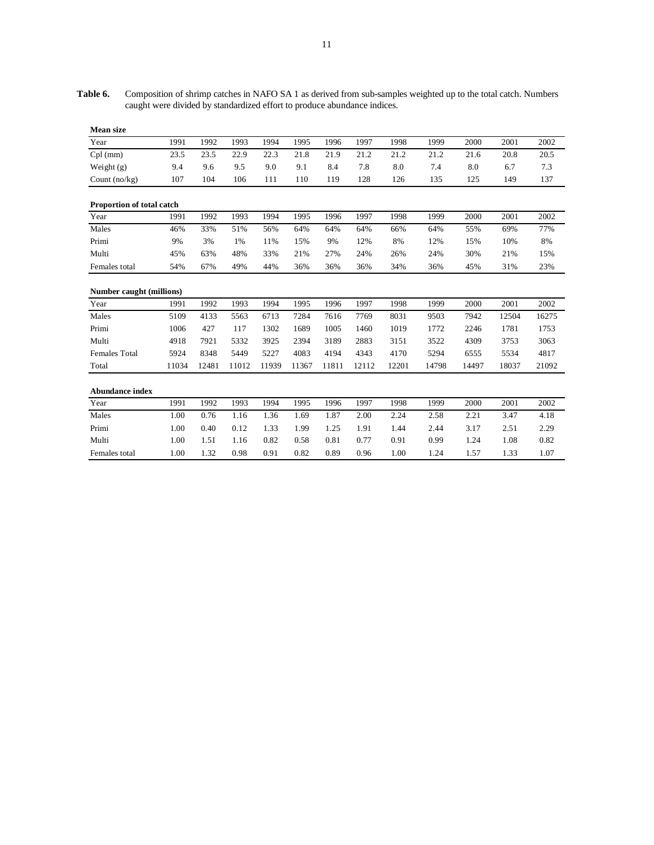**Table 6.** Composition of shrimp catches in NAFO SA 1 as derived from sub-samples weighted up to the total catch. Numbers caught were divided by standardized effort to produce abundance indices.

| <b>Mean size</b>          |       |       |       |       |       |       |       |       |       |       |       |       |
|---------------------------|-------|-------|-------|-------|-------|-------|-------|-------|-------|-------|-------|-------|
| Year                      | 1991  | 1992  | 1993  | 1994  | 1995  | 1996  | 1997  | 1998  | 1999  | 2000  | 2001  | 2002  |
| $Cpl$ (mm)                | 23.5  | 23.5  | 22.9  | 22.3  | 21.8  | 21.9  | 21.2  | 21.2  | 21.2  | 21.6  | 20.8  | 20.5  |
| Weight $(g)$              | 9.4   | 9.6   | 9.5   | 9.0   | 9.1   | 8.4   | 7.8   | 8.0   | 7.4   | 8.0   | 6.7   | 7.3   |
| Count $(no/kg)$           | 107   | 104   | 106   | 111   | 110   | 119   | 128   | 126   | 135   | 125   | 149   | 137   |
| Proportion of total catch |       |       |       |       |       |       |       |       |       |       |       |       |
| Year                      | 1991  | 1992  | 1993  | 1994  | 1995  | 1996  | 1997  | 1998  | 1999  | 2000  | 2001  | 2002  |
| Males                     | 46%   | 33%   | 51%   | 56%   | 64%   | 64%   | 64%   | 66%   | 64%   | 55%   | 69%   | 77%   |
| Primi                     | 9%    | 3%    | 1%    | 11%   | 15%   | 9%    | 12%   | 8%    | 12%   | 15%   | 10%   | 8%    |
| Multi                     | 45%   | 63%   | 48%   | 33%   | 21%   | 27%   | 24%   | 26%   | 24%   | 30%   | 21%   | 15%   |
| Females total             | 54%   | 67%   | 49%   | 44%   | 36%   | 36%   | 36%   | 34%   | 36%   | 45%   | 31%   | 23%   |
| Number caught (millions)  |       |       |       |       |       |       |       |       |       |       |       |       |
| Year                      | 1991  | 1992  | 1993  | 1994  | 1995  | 1996  | 1997  | 1998  | 1999  | 2000  | 2001  | 2002  |
| Males                     | 5109  | 4133  | 5563  | 6713  | 7284  | 7616  | 7769  | 8031  | 9503  | 7942  | 12504 | 16275 |
| Primi                     | 1006  | 427   | 117   | 1302  | 1689  | 1005  | 1460  | 1019  | 1772  | 2246  | 1781  | 1753  |
| Multi                     | 4918  | 7921  | 5332  | 3925  | 2394  | 3189  | 2883  | 3151  | 3522  | 4309  | 3753  | 3063  |
| Females Total             | 5924  | 8348  | 5449  | 5227  | 4083  | 4194  | 4343  | 4170  | 5294  | 6555  | 5534  | 4817  |
| Total                     | 11034 | 12481 | 11012 | 11939 | 11367 | 11811 | 12112 | 12201 | 14798 | 14497 | 18037 | 21092 |
| <b>Abundance index</b>    |       |       |       |       |       |       |       |       |       |       |       |       |
| Year                      | 1991  | 1992  | 1993  | 1994  | 1995  | 1996  | 1997  | 1998  | 1999  | 2000  | 2001  | 2002  |
| Males                     | 1.00  | 0.76  | 1.16  | 1.36  | 1.69  | 1.87  | 2.00  | 2.24  | 2.58  | 2.21  | 3.47  | 4.18  |
| Primi                     | 1.00  | 0.40  | 0.12  | 1.33  | 1.99  | 1.25  | 1.91  | 1.44  | 2.44  | 3.17  | 2.51  | 2.29  |
| Multi                     | 1.00  | 1.51  | 1.16  | 0.82  | 0.58  | 0.81  | 0.77  | 0.91  | 0.99  | 1.24  | 1.08  | 0.82  |
| Females total             | 1.00  | 1.32  | 0.98  | 0.91  | 0.82  | 0.89  | 0.96  | 1.00  | 1.24  | 1.57  | 1.33  | 1.07  |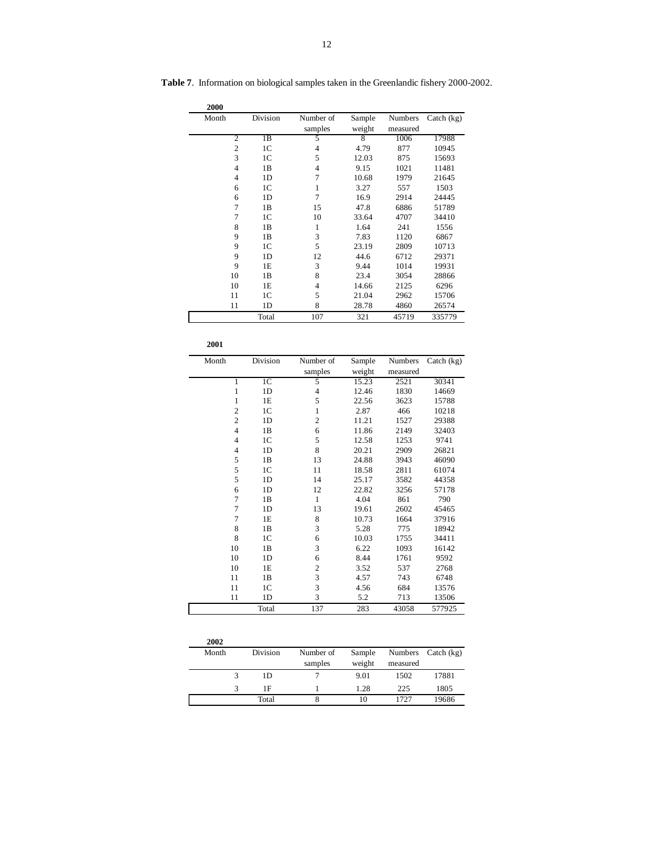| 2000           |                |                |        |                |              |
|----------------|----------------|----------------|--------|----------------|--------------|
| Month          | Division       | Number of      | Sample | <b>Numbers</b> | Catch $(kg)$ |
|                |                | samples        | weight | measured       |              |
| 2              | 1B             | 5              | 8      | 1006           | 17988        |
| $\overline{2}$ | 1 <sup>C</sup> | 4              | 4.79   | 877            | 10945        |
| 3              | 1 <sup>C</sup> | 5              | 12.03  | 875            | 15693        |
| $\overline{4}$ | 1B             | 4              | 9.15   | 1021           | 11481        |
| $\overline{4}$ | 1D             | 7              | 10.68  | 1979           | 21645        |
| 6              | 1 <sup>C</sup> | 1              | 3.27   | 557            | 1503         |
| 6              | 1D             | $\overline{7}$ | 16.9   | 2914           | 24445        |
| 7              | 1B             | 15             | 47.8   | 6886           | 51789        |
| 7              | 1 <sup>C</sup> | 10             | 33.64  | 4707           | 34410        |
| 8              | 1 <sub>B</sub> | 1              | 1.64   | 241            | 1556         |
| 9              | 1B             | 3              | 7.83   | 1120           | 6867         |
| 9              | 1 <sup>C</sup> | 5              | 23.19  | 2809           | 10713        |
| 9              | 1 <sub>D</sub> | 12             | 44.6   | 6712           | 29371        |
| 9              | 1E             | 3              | 9.44   | 1014           | 19931        |
| 10             | 1B             | 8              | 23.4   | 3054           | 28866        |
| 10             | 1E             | 4              | 14.66  | 2125           | 6296         |
| 11             | 1 <sup>C</sup> | 5              | 21.04  | 2962           | 15706        |
| 11             | 1D             | 8              | 28.78  | 4860           | 26574        |
|                | Total          | 107            | 321    | 45719          | 335779       |

**Table 7**. Information on biological samples taken in the Greenlandic fishery 2000-2002.

| 2001                     |                |                |        |          |              |
|--------------------------|----------------|----------------|--------|----------|--------------|
| Month                    | Division       | Number of      | Sample | Numbers  | Catch $(kg)$ |
|                          |                | samples        | weight | measured |              |
| 1                        | 1 <sup>C</sup> | 5              | 15.23  | 2521     | 30341        |
| 1                        | 1D             | $\overline{4}$ | 12.46  | 1830     | 14669        |
| 1                        | 1E             | 5              | 22.56  | 3623     | 15788        |
| $\overline{c}$           | 1 <sup>C</sup> | 1              | 2.87   | 466      | 10218        |
| $\overline{c}$           | 1D             | $\overline{c}$ | 11.21  | 1527     | 29388        |
| $\overline{4}$           | 1B             | 6              | 11.86  | 2149     | 32403        |
| $\overline{\mathcal{L}}$ | 1 <sup>C</sup> | 5              | 12.58  | 1253     | 9741         |
| $\overline{4}$           | 1D             | 8              | 20.21  | 2909     | 26821        |
| 5                        | 1B             | 13             | 24.88  | 3943     | 46090        |
| 5                        | 1 <sub>C</sub> | 11             | 18.58  | 2811     | 61074        |
| 5                        | 1D             | 14             | 25.17  | 3582     | 44358        |
| 6                        | 1D             | 12             | 22.82  | 3256     | 57178        |
| 7                        | 1B             | $\mathbf{1}$   | 4.04   | 861      | 790          |
| 7                        | 1D             | 13             | 19.61  | 2602     | 45465        |
| 7                        | 1E             | 8              | 10.73  | 1664     | 37916        |
| 8                        | 1B             | 3              | 5.28   | 775      | 18942        |
| 8                        | 1 <sup>C</sup> | 6              | 10.03  | 1755     | 34411        |
| 10                       | 1B             | 3              | 6.22   | 1093     | 16142        |
| 10                       | 1D             | 6              | 8.44   | 1761     | 9592         |
| 10                       | 1E             | $\overline{2}$ | 3.52   | 537      | 2768         |
| 11                       | 1B             | 3              | 4.57   | 743      | 6748         |
| 11                       | 1 <sup>C</sup> | 3              | 4.56   | 684      | 13576        |
| 11                       | 1D             | 3              | 5.2    | 713      | 13506        |
|                          | Total          | 137            | 283    | 43058    | 577925       |

| 2002  |                 |           |        |          |                    |
|-------|-----------------|-----------|--------|----------|--------------------|
| Month | <b>Division</b> | Number of | Sample |          | Numbers Catch (kg) |
|       |                 | samples   | weight | measured |                    |
|       | 1D              |           | 9.01   | 1502     | 17881              |
|       | 1F              |           | 1.28   | 225      | 1805               |
|       | Total           |           | 10     | 1727     | 19686              |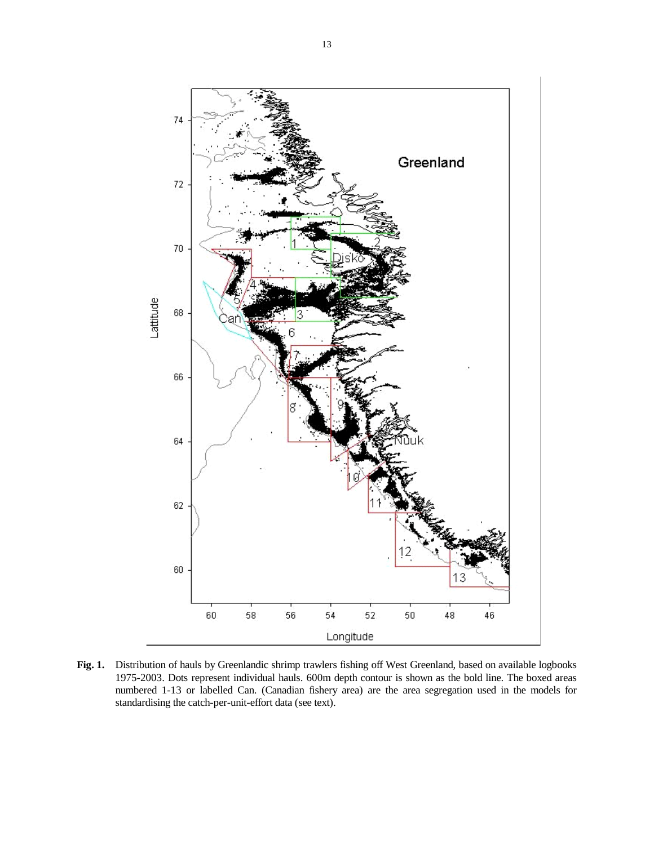

**Fig. 1.** Distribution of hauls by Greenlandic shrimp trawlers fishing off West Greenland, based on available logbooks 1975-2003. Dots represent individual hauls. 600m depth contour is shown as the bold line. The boxed areas numbered 1-13 or labelled Can. (Canadian fishery area) are the area segregation used in the models for standardising the catch-per-unit-effort data (see text).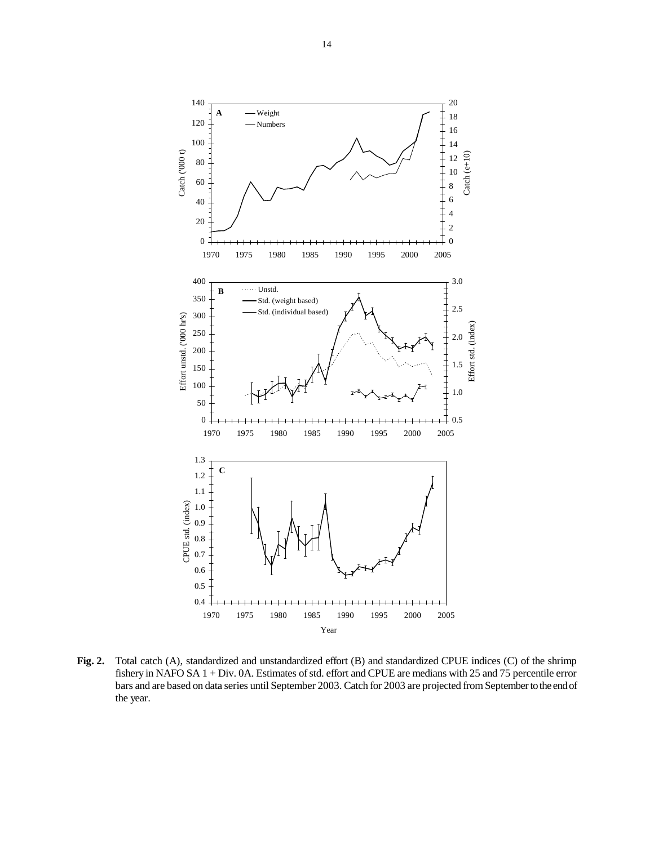

**Fig. 2.** Total catch (A), standardized and unstandardized effort (B) and standardized CPUE indices (C) of the shrimp fishery in NAFO SA 1 + Div. 0A. Estimates of std. effort and CPUE are medians with 25 and 75 percentile error bars and are based on data series until September 2003. Catch for 2003 are projected from September to the end of the year.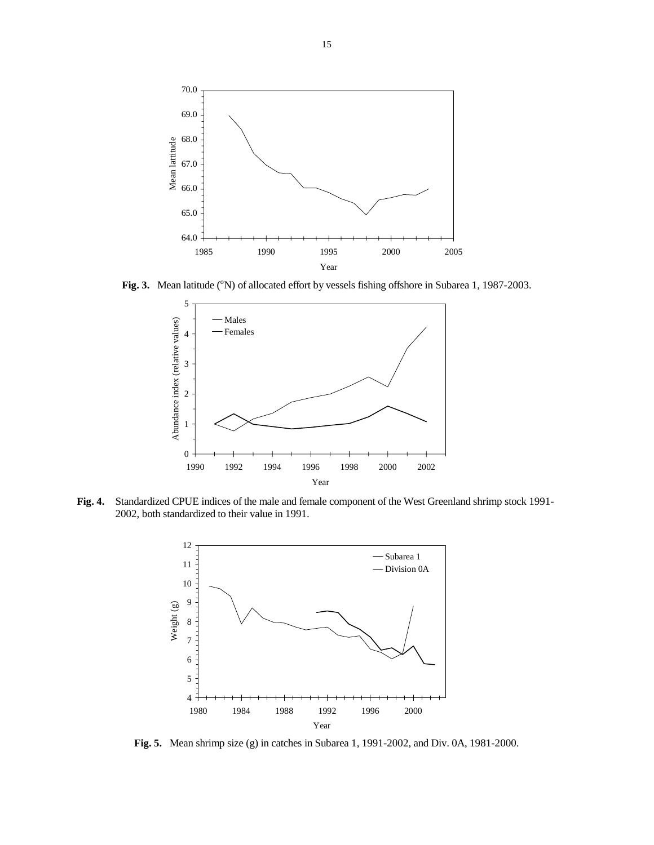

Fig. 3. Mean latitude (°N) of allocated effort by vessels fishing offshore in Subarea 1, 1987-2003.



**Fig. 4.** Standardized CPUE indices of the male and female component of the West Greenland shrimp stock 1991- 2002, both standardized to their value in 1991.



**Fig. 5.** Mean shrimp size (g) in catches in Subarea 1, 1991-2002, and Div. 0A, 1981-2000.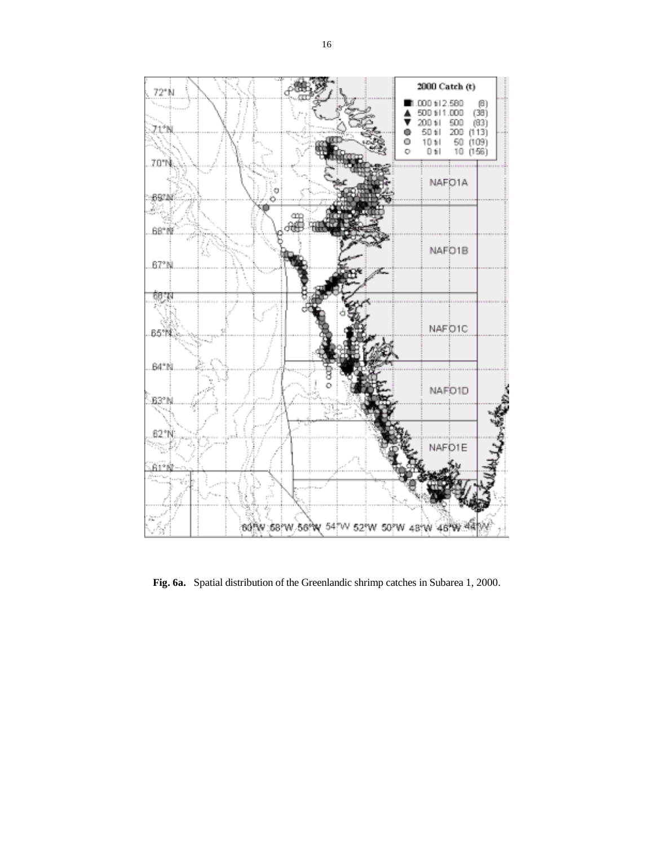

**Fig. 6a.** Spatial distribution of the Greenlandic shrimp catches in Subarea 1, 2000.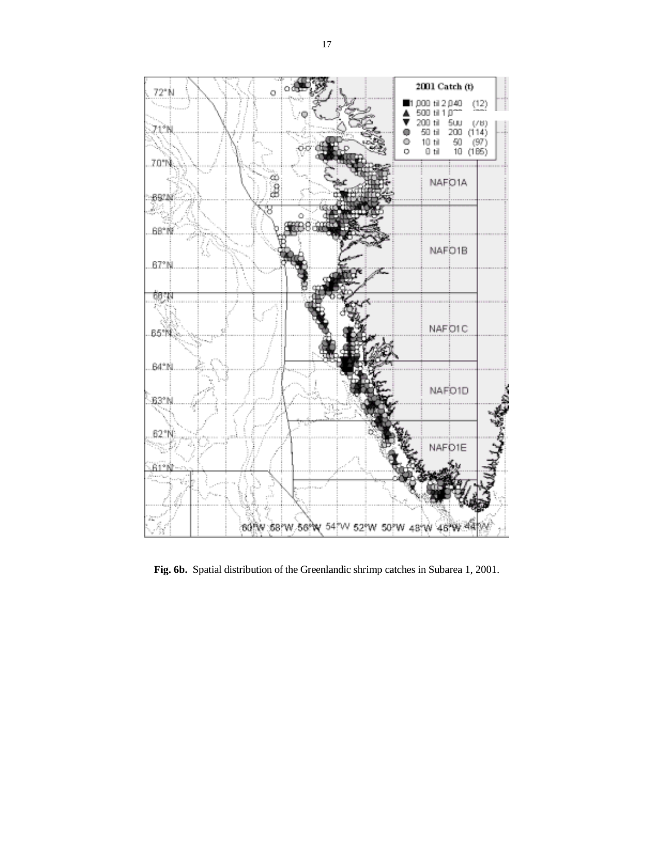

**Fig. 6b.** Spatial distribution of the Greenlandic shrimp catches in Subarea 1, 2001.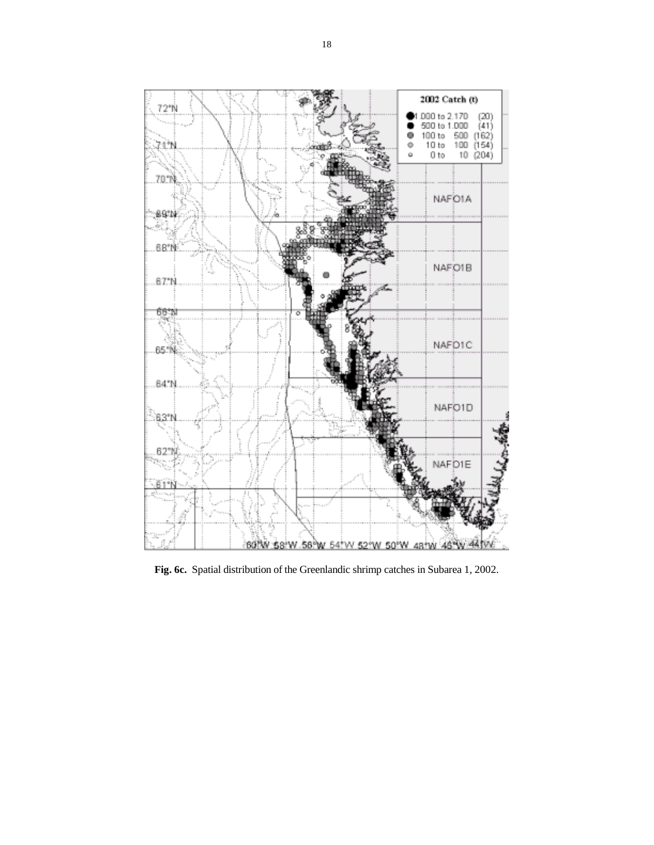

**Fig. 6c.** Spatial distribution of the Greenlandic shrimp catches in Subarea 1, 2002.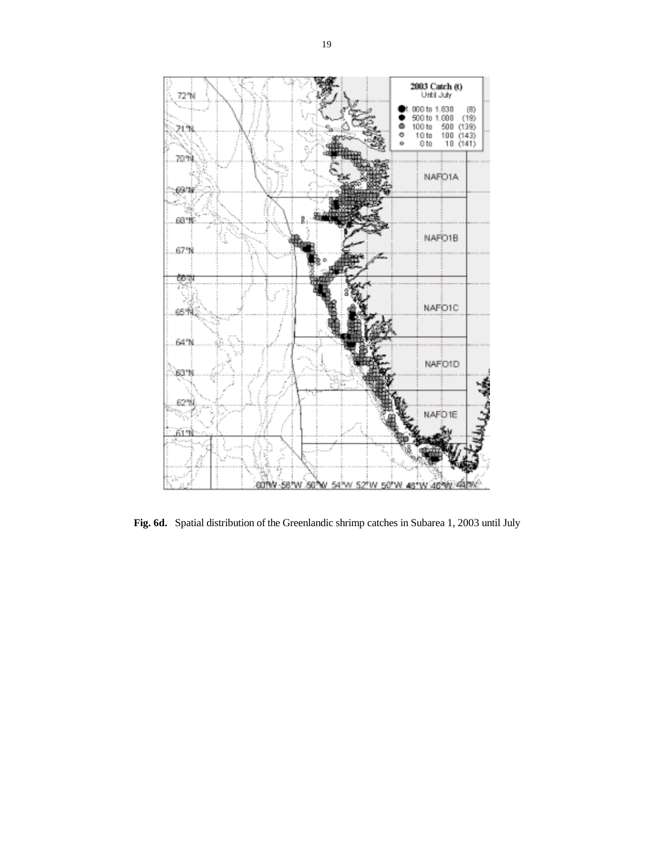

**Fig. 6d.** Spatial distribution of the Greenlandic shrimp catches in Subarea 1, 2003 until July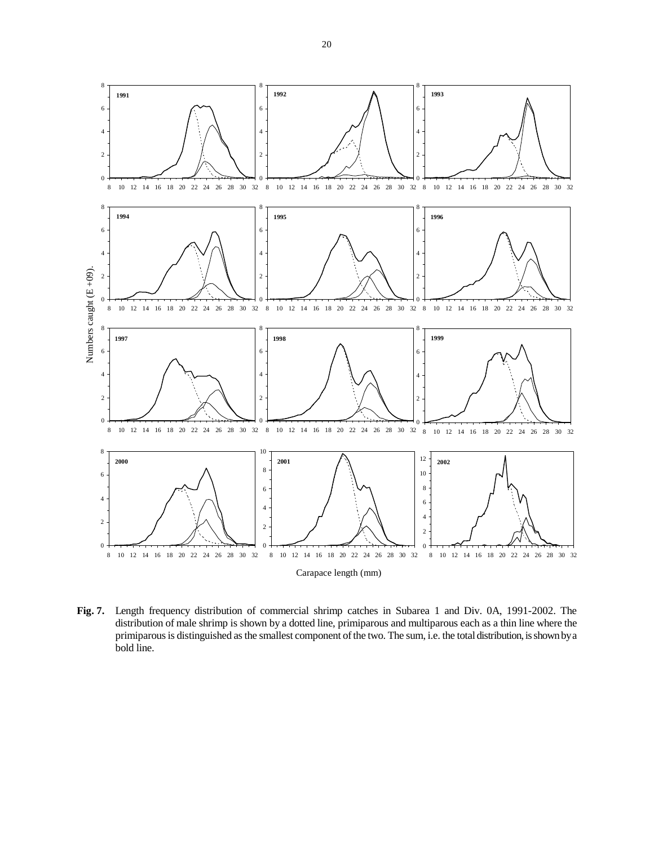

**Fig. 7.** Length frequency distribution of commercial shrimp catches in Subarea 1 and Div. 0A, 1991-2002. The distribution of male shrimp is shown by a dotted line, primiparous and multiparous each as a thin line where the primiparous is distinguished as the smallest component of the two. The sum, i.e. the total distribution, is shown by a bold line.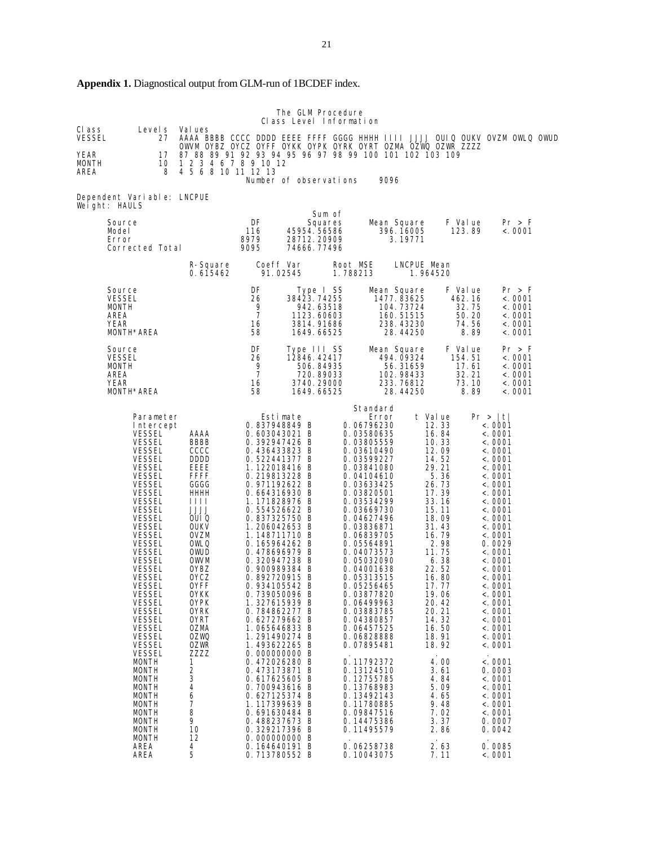**Appendix 1.** Diagnostical output from GLM-run of 1BCDEF index.

|                                                                                                                                                                                                                                                                                                                                                                                                                                                                                                                                                                                                                    |                                                                                                                                                                                                                                                                                                                                    |                                                                                                                                                                                                                                                                                                                                                                                                                                                                                                                                                                                                                                                                                                      | The GLM Procedure<br>Class Level Information                                     |                      |                                                                                                                                                                                                                                                                                                                                                                                                                                                                                                                                                                       |                                                                                                                                                                                                                                                                                                                                                 |                                                      |                                                                                                                                                                                                                                                                                                                                                                                                                  |
|--------------------------------------------------------------------------------------------------------------------------------------------------------------------------------------------------------------------------------------------------------------------------------------------------------------------------------------------------------------------------------------------------------------------------------------------------------------------------------------------------------------------------------------------------------------------------------------------------------------------|------------------------------------------------------------------------------------------------------------------------------------------------------------------------------------------------------------------------------------------------------------------------------------------------------------------------------------|------------------------------------------------------------------------------------------------------------------------------------------------------------------------------------------------------------------------------------------------------------------------------------------------------------------------------------------------------------------------------------------------------------------------------------------------------------------------------------------------------------------------------------------------------------------------------------------------------------------------------------------------------------------------------------------------------|----------------------------------------------------------------------------------|----------------------|-----------------------------------------------------------------------------------------------------------------------------------------------------------------------------------------------------------------------------------------------------------------------------------------------------------------------------------------------------------------------------------------------------------------------------------------------------------------------------------------------------------------------------------------------------------------------|-------------------------------------------------------------------------------------------------------------------------------------------------------------------------------------------------------------------------------------------------------------------------------------------------------------------------------------------------|------------------------------------------------------|------------------------------------------------------------------------------------------------------------------------------------------------------------------------------------------------------------------------------------------------------------------------------------------------------------------------------------------------------------------------------------------------------------------|
| CI ass<br>Level s<br><b>VESSEL</b><br>27<br>YEAR<br>17<br>10<br>MONTH<br>AREA<br>8                                                                                                                                                                                                                                                                                                                                                                                                                                                                                                                                 | Val ues<br>OWVM OYBZ OYCZ OYFF OYKK OYPK OYRK OYRT OZMA OZWQ OZWR ZZZZ<br>87 88 89 91 92 93 94 95 96 97 98 99 100 101 102 103 109<br>1 2 3 4 6 7 8 9 10 12<br>4 5 6 8 10 11 12 13                                                                                                                                                  |                                                                                                                                                                                                                                                                                                                                                                                                                                                                                                                                                                                                                                                                                                      | Number of observations                                                           |                      |                                                                                                                                                                                                                                                                                                                                                                                                                                                                                                                                                                       |                                                                                                                                                                                                                                                                                                                                                 |                                                      | AAAA BBBB CCCC DDDD EEEE FFFF GGGG HHHH IIII JJJJ OUIQ OUKV OVZM OWLQ OWUD                                                                                                                                                                                                                                                                                                                                       |
| Dependent Variable: LNCPUE                                                                                                                                                                                                                                                                                                                                                                                                                                                                                                                                                                                         |                                                                                                                                                                                                                                                                                                                                    |                                                                                                                                                                                                                                                                                                                                                                                                                                                                                                                                                                                                                                                                                                      |                                                                                  |                      | 9096                                                                                                                                                                                                                                                                                                                                                                                                                                                                                                                                                                  |                                                                                                                                                                                                                                                                                                                                                 |                                                      |                                                                                                                                                                                                                                                                                                                                                                                                                  |
| Weight: HAULS                                                                                                                                                                                                                                                                                                                                                                                                                                                                                                                                                                                                      |                                                                                                                                                                                                                                                                                                                                    |                                                                                                                                                                                                                                                                                                                                                                                                                                                                                                                                                                                                                                                                                                      |                                                                                  | Sum of               |                                                                                                                                                                                                                                                                                                                                                                                                                                                                                                                                                                       |                                                                                                                                                                                                                                                                                                                                                 |                                                      |                                                                                                                                                                                                                                                                                                                                                                                                                  |
| Source<br>Model<br>Error<br>Corrected Total                                                                                                                                                                                                                                                                                                                                                                                                                                                                                                                                                                        |                                                                                                                                                                                                                                                                                                                                    | DF<br>116<br>8979<br>9095                                                                                                                                                                                                                                                                                                                                                                                                                                                                                                                                                                                                                                                                            | 45954.56586<br>28712.20909<br>74666.77496                                        | Squares              | Mean Square<br>396.16005                                                                                                                                                                                                                                                                                                                                                                                                                                                                                                                                              | 3.19771                                                                                                                                                                                                                                                                                                                                         | F Value<br>123.89                                    | Pr > F<br>< .0001                                                                                                                                                                                                                                                                                                                                                                                                |
|                                                                                                                                                                                                                                                                                                                                                                                                                                                                                                                                                                                                                    | R-Square<br>0.615462                                                                                                                                                                                                                                                                                                               | Coeff Var                                                                                                                                                                                                                                                                                                                                                                                                                                                                                                                                                                                                                                                                                            | 91.02545                                                                         | Root MSE<br>1.788213 |                                                                                                                                                                                                                                                                                                                                                                                                                                                                                                                                                                       | LNCPUE Mean<br>1.964520                                                                                                                                                                                                                                                                                                                         |                                                      |                                                                                                                                                                                                                                                                                                                                                                                                                  |
| Source<br><b>VESSEL</b><br>MONTH<br>AREA<br>YEAR<br>MONTH*AREA                                                                                                                                                                                                                                                                                                                                                                                                                                                                                                                                                     |                                                                                                                                                                                                                                                                                                                                    | DF<br>26<br>9<br>$\overline{7}$<br>16<br>58                                                                                                                                                                                                                                                                                                                                                                                                                                                                                                                                                                                                                                                          | Type I SS<br>38423.74255<br>942.63518<br>1123.60603<br>3814.91686<br>1649.66525  |                      | Mean Square<br>1477.83625<br>104.73724<br>160.51515<br>238.43230                                                                                                                                                                                                                                                                                                                                                                                                                                                                                                      | 28.44250                                                                                                                                                                                                                                                                                                                                        | F Value<br>462.16<br>32.75<br>50.20<br>74.56<br>8.89 | Pr > F<br>< .0001<br>< .0001<br>< .0001<br>< .0001<br>< .0001                                                                                                                                                                                                                                                                                                                                                    |
| Source<br><b>VESSEL</b><br>MONTH<br>AREA<br>YEAR<br>MONTH*AREA                                                                                                                                                                                                                                                                                                                                                                                                                                                                                                                                                     |                                                                                                                                                                                                                                                                                                                                    | DF<br>26<br>9<br>$\overline{7}$<br>16<br>58                                                                                                                                                                                                                                                                                                                                                                                                                                                                                                                                                                                                                                                          | Type III SS<br>12846.42417<br>506.84935<br>720.89033<br>3740.29000<br>1649.66525 |                      | Mean Square<br>494.09324<br>102.98433<br>233.76812                                                                                                                                                                                                                                                                                                                                                                                                                                                                                                                    | 56.31659<br>28.44250                                                                                                                                                                                                                                                                                                                            | F Value<br>154.51<br>17.61<br>32.21<br>73.10<br>8.89 | Pr > F<br>< .0001<br>< .0001<br>< .0001<br>< .0001<br>< .0001                                                                                                                                                                                                                                                                                                                                                    |
| Parameter<br>Intercept<br>VESSEL<br>VESSEL<br><b>VESSEL</b><br><b>VESSEL</b><br><b>VESSEL</b><br><b>VESSEL</b><br><b>VESSEL</b><br>VESSEL<br><b>VESSEL</b><br><b>VESSEL</b><br>VESSEL<br><b>VESSEL</b><br><b>VESSEL</b><br>VESSEL<br><b>VESSEL</b><br>VESSEL<br>VESSEL<br>VESSEL<br><b>VESSEL</b><br>VESSEL<br><b>VESSEL</b><br><b>VESSEL</b><br><b>VESSEL</b><br><b>VESSEL</b><br><b>VESSEL</b><br><b>VESSEL</b><br><b>VESSEL</b><br><b>MONTH</b><br><b>MONTH</b><br><b>MONTH</b><br><b>MONTH</b><br><b>MONTH</b><br><b>MONTH</b><br><b>MONTH</b><br><b>MONTH</b><br><b>MONTH</b><br><b>MONTH</b><br>AREA<br>AREA | AAAA<br>BBBB<br>cccc<br><b>DDDD</b><br>EEEE<br>FFFF<br>GGGG<br>HHHH<br>ШL<br>JJJJ<br>OUI Q<br><b>OUKV</b><br>OVZM<br>OWLQ<br>OWUD<br>OWVM<br>0YBZ<br><b>OYCZ</b><br><b>OYFF</b><br><b>OYKK</b><br>0YPK<br><b>OYRK</b><br>0YRT<br><b>OZMA</b><br>0ZWQ<br>0ZWR<br>ZZZZ<br>1<br>2<br>3<br>4<br>6<br>7<br>8<br>9<br>10<br>12<br>4<br>5 | 0.837948849 B<br>0.603043021 B<br>0.392947426 B<br>0.436433823 B<br>0.522441377 B<br>1.122018416 B<br>0.219813228 B<br>0.971192622 B<br>0.664316930 B<br>1.171828976 B<br>0.554526622 B<br>0.837325750 B<br>1.206042653 B<br>1.148711710 B<br>0.165964262 B<br>0.478696979 B<br>0.320947238 B<br>0.900989384 B<br>0.892720915 B<br>0.934105542 B<br>0.739050096 B<br>1.327615939 B<br>0.784862277 B<br>0.627279662 B<br>1.065646833 B<br>1.291490274 B<br>1.493622265 B<br>0.000000000 B<br>0.472026280 B<br>0.473173871 B<br>0.617625605 B<br>0.700943616 B<br>0.627125374 B<br>1.117399639 B<br>0.691630484 B<br>0.488237673 B<br>0.329217396 B<br>0.000000000 B<br>0.164640191 B<br>0.713780552 B | Estimate                                                                         |                      | Standard<br>Error<br>0.06796230<br>0.03580635<br>0.03805559<br>0.03610490<br>0.03599227<br>0.03841080<br>0.04104610<br>0.03633425<br>0.03820501<br>0.03534299<br>0.03669730<br>0.04627496<br>0.03836871<br>0.06839705<br>0.05564891<br>0.04073573<br>0.05032090<br>0.04001638<br>0.05313515<br>0.05256465<br>0.03877820<br>0.06499963<br>0.03883785<br>0.04380857<br>0.06457525<br>0.06828888<br>0.07895481<br>0.11792372<br>0.13124510<br>0.12755785<br>0.13768983<br>0.13492143<br>0.11780885<br>0.09847516<br>0.14475386<br>0.11495579<br>0.06258738<br>0.10043075 | t Value<br>12.33<br>16.84<br>10.33<br>12.09<br>14.52<br>29.21<br>5.36<br>26.73<br>17.39<br>33.16<br>15.11<br>18.09<br>31.43<br>16.79<br>2.98<br>11.75<br>6.38<br>22.52<br>16.80<br>17.77<br>19.06<br>20.42<br>20.21<br>14.32<br>16.50<br>18.91<br>18.92<br>4.00<br>3.61<br>4.84<br>5.09<br>4.65<br>9.48<br>7.02<br>3.37<br>2.86<br>2.63<br>7.11 | Pr >  t                                              | < .0001<br>< .0001<br>< .0001<br>< .0001<br>< .0001<br>< .0001<br>< .0001<br>< .0001<br><.0001<br>< .0001<br>< .0001<br><.0001<br>< .0001<br>< .0001<br>0.0029<br>< 0001<br>< .0001<br>< .0001<br>< 0.001<br>< .0001<br>< .0001<br>< 0001<br>< .0001<br>< .0001<br>< 0001<br>< 0001<br>< 0001<br>< .0001<br>0.0003<br>< .0001<br>< .0001<br>< .0001<br>< 0001<br>< .0001<br>0.0007<br>0.0042<br>0.0085<br>< 0001 |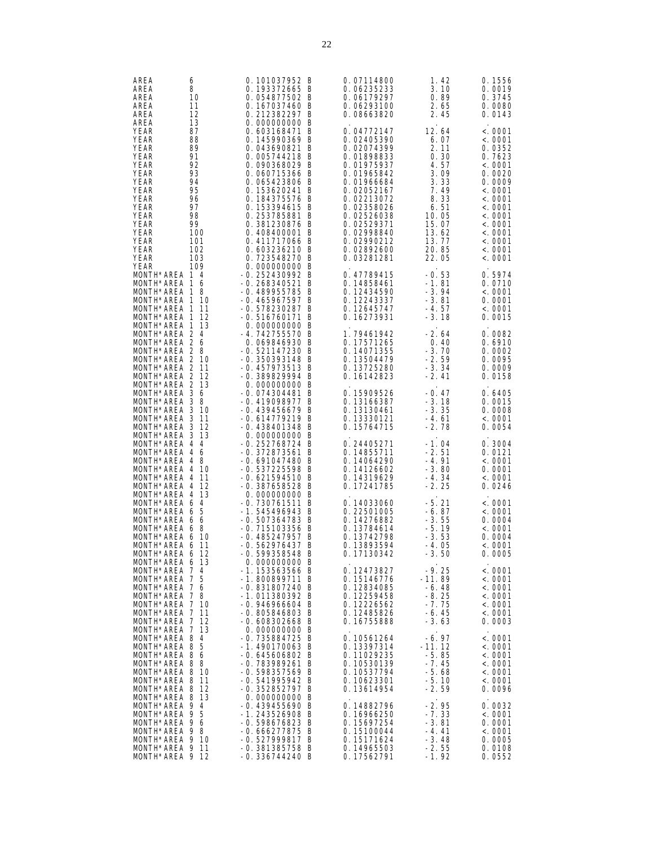| AREA<br>6<br>AREA<br>8<br>AREA<br>10<br>AREA<br>11<br>12<br>AREA                                                                                                                                                                                                                       | 0.101037952 B<br>0.193372665 B<br>0.054877502 B<br>0.167037460 B<br>0.212382297 B                                                                                                                                                                           | 0.07114800<br>0.06235233<br>0.06179297<br>0.06293100<br>0.08663820                                                                                                                               | 1.42<br>3.10<br>0.89<br>2.65<br>2.45                                                                               | 0.1556<br>0.0019<br>0.3745<br>0.0080<br>0.0143                                                                                                  |
|----------------------------------------------------------------------------------------------------------------------------------------------------------------------------------------------------------------------------------------------------------------------------------------|-------------------------------------------------------------------------------------------------------------------------------------------------------------------------------------------------------------------------------------------------------------|--------------------------------------------------------------------------------------------------------------------------------------------------------------------------------------------------|--------------------------------------------------------------------------------------------------------------------|-------------------------------------------------------------------------------------------------------------------------------------------------|
| 13<br>AREA<br><b>YEAR</b><br>87<br><b>YEAR</b><br>88<br><b>YEAR</b><br>89<br><b>YEAR</b><br>91<br><b>YEAR</b><br>92<br>93<br><b>YEAR</b><br><b>YEAR</b><br>94<br>YEAR<br>95<br><b>YEAR</b><br>96<br>97<br>YEAR<br><b>YEAR</b><br>98<br><b>YEAR</b><br>99<br>YEAR<br>100<br>YEAR<br>101 | 0.000000000 B<br>0.603168471 B<br>0.145990369 B<br>0.043690821 B<br>0.005744218 B<br>0.090368029 B<br>0.060715366 B<br>0.065423806 B<br>0.153620241 B<br>0.184375576 B<br>0.153394615 B<br>0.253785881 B<br>0.381230876 B<br>0.408400001 B<br>0.411717066 B | 0.04772147<br>0.02405390<br>0.02074399<br>0.01898833<br>0.01975937<br>0.01965842<br>0.01966684<br>0.02052167<br>0.02213072<br>0.02358026<br>0.02526038<br>0.02529371<br>0.02998840<br>0.02990212 | 12.64<br>6.07<br>2. 11<br>0.30<br>4.57<br>3.09<br>3.33<br>7.49<br>8.33<br>6.51<br>10.05<br>15.07<br>13.62<br>13.77 | < .0001<br>< 0001<br>0.0352<br>0.7623<br>< .0001<br>0.0020<br>0.0009<br>< 0.0001<br>< 0001<br><. 0001<br><. 0001<br>< 0001<br><. 0001<br>< 0001 |
| <b>YEAR</b><br>102<br><b>YEAR</b><br>103<br><b>YEAR</b><br>109                                                                                                                                                                                                                         | 0.603236210 B<br>0.723548270 B<br>0.000000000 B                                                                                                                                                                                                             | 0.02892600<br>0.03281281                                                                                                                                                                         | 20.85<br>22.05                                                                                                     | <. 0001<br><. 0001                                                                                                                              |
| MONTH*AREA 1 4<br>MONTH*AREA 1<br>MONTH*AREA 1<br>MONTH*AREA 1<br>MONTH*AREA 1<br>MONTH*AREA 1                                                                                                                                                                                         | -0.252430992 B<br>$-0.268340521$ B<br>6<br>$-0.489955785 B$<br>8<br>10<br>-0.465967597 B<br>-0.578230287 B<br>11<br>12<br>$-0.516760171$ B                                                                                                                  | 0.47789415<br>0.14858461<br>0.12434590<br>0.12243337<br>0.12645747<br>0.16273931                                                                                                                 | $-0.53$<br>-1.81<br>-3.94<br>-3.81<br>-4.57<br>$-3.18$                                                             | 0.5974<br>0.0710<br>< 0001<br>0.0001<br>< 0001<br>0.0015                                                                                        |
| MONTH*AREA 1<br>MONTH*AREA 2 4<br>MONTH*AREA 2 6                                                                                                                                                                                                                                       | 13<br>0.000000000 B<br>-4.742755570 B<br>0.069846930 B                                                                                                                                                                                                      | 1.79461942<br>0.17571265                                                                                                                                                                         | -2.64<br>0.40                                                                                                      | 0.0082<br>0.6910                                                                                                                                |
| MONTH*AREA 2 8<br>MONTH*AREA 2 10<br>MONTH*AREA 2<br>MONTH*AREA 2 12                                                                                                                                                                                                                   | -0.521147230 B<br>-0.350393148 B<br>-11<br>-0.457973513 B<br>-0.389829994 B                                                                                                                                                                                 | 0.14071355<br>0.13504479<br>0.13725280<br>0.16142823                                                                                                                                             | $-3.70$<br>$-2.59$<br>$-3.34$<br>-2.41                                                                             | 0.0002<br>0.0095<br>0.0009<br>0.0158                                                                                                            |
| MONTH*AREA 2<br>MONTH*AREA 3 6<br>MONTH*AREA 3 8<br>MONTH*AREA 3<br>MONTH*AREA 3<br>MONTH*AREA 3                                                                                                                                                                                       | -13<br>0.000000000 B<br>-0.074304481 B<br>-0.419098977 B<br>-10<br>-0.439456679 B<br>-11<br>-0.614779219 B<br>-12<br>$-0.438401348$ B                                                                                                                       | 0.15909526<br>0.13166387<br>0.13130461<br>0.13330121<br>0.15764715                                                                                                                               | -0.47<br>$-3.18$<br>$-3.35$<br>-4. 61<br>$-2.78$                                                                   | 0.6405<br>0.0015<br>0.0008<br><. 0001<br>0.0054                                                                                                 |
| MONTH*AREA 3<br>MONTH*AREA 4<br>MONTH*AREA 4 6<br>MONTH*AREA 4 8<br>MONTH*AREA 4<br>MONTH*AREA 4<br>MONTH*AREA 4                                                                                                                                                                       | 13<br>0.000000000 B<br>-0.252768724 B<br>-4<br>-0.372873561 B<br>-0.691047480 B<br>10<br>-0.537225598 B<br>-0.621594510 B<br>11<br>12<br>-0.387658528 B                                                                                                     | 0.24405271<br>0.14855711<br>0.14064290<br>0.14126602<br>0.14319629<br>0.17241785                                                                                                                 | $-1.04$<br>-2.51<br>-4.91<br>$-3.80$<br>-4.34<br>$-2.25$                                                           | 0.3004<br>0.0121<br>< .0001<br>0.0001<br>< 0001<br>0.0246                                                                                       |
| MONTH*AREA 4<br>MONTH*AREA 6<br>MONTH*AREA 6 5<br>MONTH*AREA 6 6<br>MONTH*AREA 6 8<br>MONTH*AREA 6 10<br>MONTH*AREA 6 11<br>MONTH*AREA 6 12                                                                                                                                            | 13<br>0.000000000 B<br>-4<br>-0.730761511 B<br>-1.545496943 B<br>$-0.507364783$ B<br>-0.715103356 B<br>-0.485247957 B<br>-0.562976437 B<br>-0.599358548 B                                                                                                   | 0.14033060<br>0.22501005<br>0.14276882<br>0.13784614<br>0.13742798<br>0.13893594<br>0.17130342                                                                                                   | -5.21<br>-6.87<br>$-3.55$<br>-5.19<br>-3.53<br>-4.05<br>-3.50                                                      | < 0001<br>< 0001<br>0.0004<br>< 0001<br>0.0004<br>< 0001<br>0.0005                                                                              |
| MONTH*AREA 6 13<br>MONTH*AREA 7 4<br>MONTH*AREA 7 5<br>MONTH*AREA 7 6<br>MONTH*AREA 7 8<br>MONTH*AREA 7 10<br>MONTH*AREA 7 11<br>MONTH*AREA 7 12                                                                                                                                       | 0.000000000 B<br>-1.153563566 B<br>-1.800899711 B<br>-0.831807240 B<br>-1.011380392 B<br>-0.946966604 B<br>-0.805846803 B<br>-0.608302668 B                                                                                                                 | 0.12473827<br>0.15146776<br>0.12834085<br>0.12259458<br>0.12226562<br>0.12485826<br>0.16755888                                                                                                   | $-9.25$<br>-11.89<br>$-6.48$<br>$-8.25$<br>-7.75<br>-6.45<br>$-3.63$                                               | < 0001<br><. 0001<br><. 0001<br><. 0001<br><. 0001<br>< 0001<br>0.0003                                                                          |
| MONTH*AREA 7 13<br>MONTH*AREA 8<br>MONTH*AREA 8 5<br>MONTH*AREA 8 6<br>MONTH*AREA 8 8<br>MONTH*AREA 8 10<br>MONTH*AREA 8 11<br>MONTH*AREA 8 12                                                                                                                                         | 0.000000000 B<br>$\overline{4}$<br>-0.735884725 B<br>-1.490170063 B<br>-0.645606802 B<br>-0.783989261 B<br>-0.598357569 B<br>-0.541995942 B<br>-0.352852797 B                                                                                               | 0.10561264<br>0.13397314<br>0.11029235<br>0.10530139<br>0.10537794<br>0.10623301<br>0.13614954                                                                                                   | -6.97<br>-11.12<br>-5.85<br>$-7.45$<br>$-5.68$<br>$-5.10$<br>$-2.59$                                               | $\cdot$<br>< 0001<br>< 0001<br><. 0001<br><. 0001<br><. 0001<br>< 0001<br>0.0096                                                                |
| MONTH*AREA 8 13<br>MONTH*AREA 9 4<br>MONTH*AREA 9 5<br>MONTH*AREA 9 6<br>MONTH*AREA 9 8<br>MONTH*AREA 9 10<br>MONTH*AREA 9 11<br>MONTH*AREA 9 12                                                                                                                                       | 0.000000000 B<br>-0.439455690 B<br>-1.243526908 B<br>-0.598676823 B<br>-0.666277875 B<br>-0.527999817 B<br>-0.381385758 B<br>-0.336744240 B                                                                                                                 | 0.14882796<br>0.16966250<br>0.15697254<br>0.15100044<br>0.15171624<br>0.14965503<br>0.17562791                                                                                                   | $-2.95$<br>-7.33<br>-3.81<br>$-4.41$<br>$-3.48$<br>$-2.55$<br>-1.92                                                | 0.0032<br>< 0001<br>0.0001<br>< 0001<br>0.0005<br>0.0108<br>0.0552                                                                              |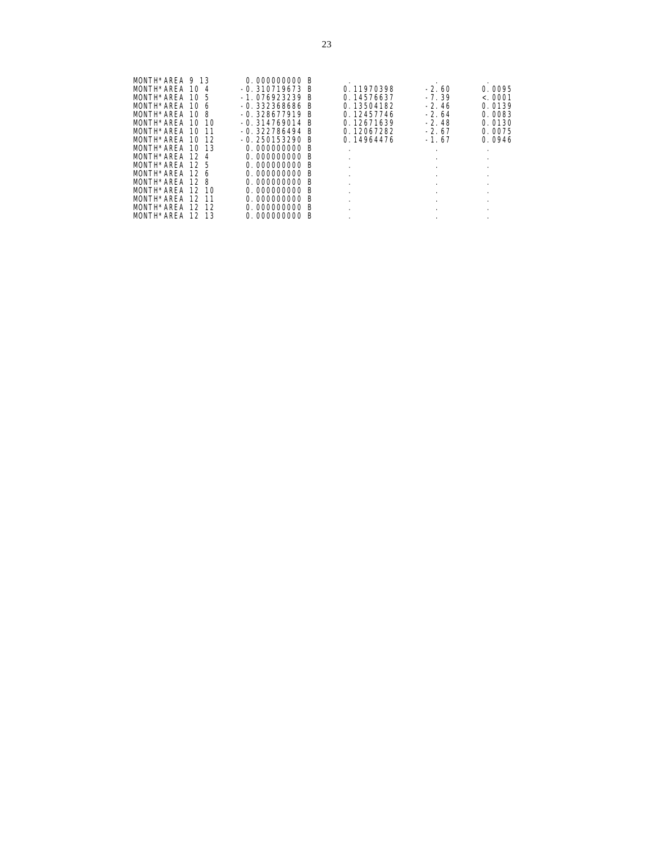| MONTH*AREA 9 13<br>MONTH*AREA 10 4<br>MONTH*AREA 10 5<br>MONTH*AREA 10 6<br>MONTH*AREA 10 8<br>MONTH*AREA 10<br>MONTH*AREA 10<br>MONTH*AREA 10 | 10<br>-11<br>-12 | 0.000000000 B<br>$-0.310719673$ B<br>$-1.076923239$ B<br>$-0.332368686$ B<br>$-0.328677919$ B<br>$-0.314769014$ B<br>$-0.322786494 B$<br>$-0.250153290$ B | 0.11970398<br>0.14576637<br>0.13504182<br>0.12457746<br>0.12671639<br>0.12067282<br>0.14964476 | $\cdot$<br>$-2.60$<br>$-7.39$<br>$-2.46$<br>$-2.64$<br>$-2.48$<br>$-2.67$<br>$-1.67$ | 0.0095<br>< 0.001<br>0.0139<br>0.0083<br>0.0130<br>0.0075<br>0.0946 |
|------------------------------------------------------------------------------------------------------------------------------------------------|------------------|-----------------------------------------------------------------------------------------------------------------------------------------------------------|------------------------------------------------------------------------------------------------|--------------------------------------------------------------------------------------|---------------------------------------------------------------------|
| MONTH*ARFA 10 13                                                                                                                               |                  | 0.000000000 B                                                                                                                                             | $\cdot$                                                                                        |                                                                                      |                                                                     |
| MONTH*AREA 12 4                                                                                                                                |                  | 0.000000000 B                                                                                                                                             |                                                                                                |                                                                                      |                                                                     |
| MONTH*ARFA 12 5                                                                                                                                |                  | 0.000000000 B                                                                                                                                             | ٠                                                                                              |                                                                                      |                                                                     |
| MONTH*ARFA 12 6                                                                                                                                |                  | 0.000000000 B                                                                                                                                             | ٠                                                                                              | $\cdot$                                                                              |                                                                     |
| MONTH*AREA 12 8                                                                                                                                |                  | 0.000000000 B                                                                                                                                             |                                                                                                | $\cdot$                                                                              |                                                                     |
| MONTH*AREA 12                                                                                                                                  | -10              | 0.000000000 B                                                                                                                                             | ٠                                                                                              |                                                                                      |                                                                     |
| MONTH*AREA                                                                                                                                     | -12<br>-11       | 0.000000000 B                                                                                                                                             |                                                                                                |                                                                                      |                                                                     |
| MONTH*AREA                                                                                                                                     | 12<br>-12        | 0.000000000 B                                                                                                                                             |                                                                                                |                                                                                      |                                                                     |
| MONTH*AREA 12                                                                                                                                  | -13              | 0.000000000 B                                                                                                                                             | $\cdot$                                                                                        | $\cdot$                                                                              |                                                                     |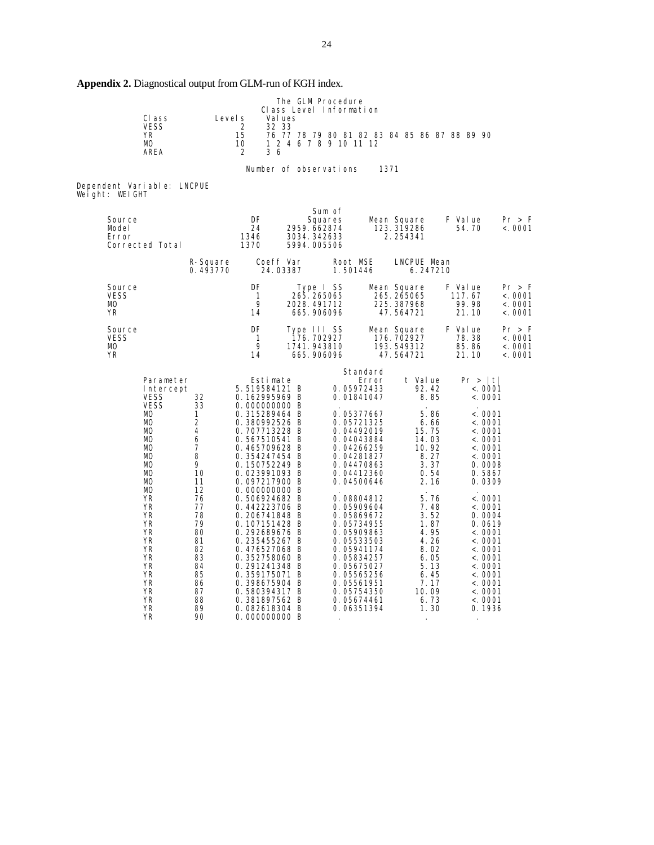**Appendix 2.** Diagnostical output from GLM-run of KGH index.

| The GLM Procedure<br>Class Level Information |                                              |                          |                    |              |                                |                            |                                              |                          |                 |                    |
|----------------------------------------------|----------------------------------------------|--------------------------|--------------------|--------------|--------------------------------|----------------------------|----------------------------------------------|--------------------------|-----------------|--------------------|
|                                              |                                              | CI ass                   | Level s            |              | Val ues                        |                            |                                              |                          |                 |                    |
|                                              |                                              | <b>VESS</b>              |                    | 2            | 32 33                          |                            |                                              |                          |                 |                    |
|                                              |                                              | <b>YR</b><br><b>MO</b>   |                    | 15<br>10     | 1 2 4 6 7 8 9 10 11 12         |                            | 76 77 78 79 80 81 82 83 84 85 86 87 88 89 90 |                          |                 |                    |
|                                              |                                              | AREA                     |                    | 2            | 36                             |                            |                                              |                          |                 |                    |
| Number of observations<br>1371               |                                              |                          |                    |              |                                |                            |                                              |                          |                 |                    |
|                                              | Dependent Variable: LNCPUE<br>Weight: WEIGHT |                          |                    |              |                                |                            |                                              |                          |                 |                    |
|                                              |                                              |                          |                    |              |                                |                            |                                              |                          |                 |                    |
|                                              | Source                                       |                          |                    | DF           |                                | Sum of<br>Squares          |                                              | Mean Square              | F Value         | Pr > F             |
|                                              | Model                                        |                          |                    | 24           |                                | 2959.662874                |                                              | 123.319286               | 54.70           | < .0001            |
|                                              | Error                                        | Corrected Total          |                    | 1346<br>1370 |                                | 3034.342633<br>5994.005506 |                                              | 2.254341                 |                 |                    |
|                                              |                                              |                          | R-Square           |              | Coeff Var                      |                            | Root MSE                                     | LNCPUE Mean              |                 |                    |
|                                              |                                              |                          | 0.493770           |              | 24.03387                       |                            | 1.501446                                     | 6.247210                 |                 |                    |
|                                              | Source                                       |                          |                    | DF           |                                | Type I SS                  |                                              | Mean Square              | F Value         | Pr > F             |
|                                              | <b>VESS</b><br>МO                            |                          |                    | 1<br>9       |                                | 265.265065<br>2028.491712  |                                              | 265.265065<br>225.387968 | 117.67<br>99.98 | < .0001<br>< .0001 |
|                                              | YR                                           |                          |                    | 14           |                                | 665.906096                 |                                              | 47.564721                | 21.10           | < .0001            |
|                                              | Source                                       |                          |                    | DF           |                                | Type III SS                |                                              | Mean Square              | F Value         | Pr > F             |
|                                              | VESS<br>МO                                   |                          |                    | 1<br>9       |                                | 176.702927<br>1741.943810  |                                              | 176.702927<br>193.549312 | 78.38<br>85.86  | < .0001<br>< .0001 |
|                                              | YR                                           |                          |                    | 14           |                                | 665.906096                 |                                              | 47.564721                | 21.10           | < .0001            |
|                                              |                                              |                          |                    |              |                                |                            | Standard                                     |                          |                 |                    |
|                                              |                                              | Parameter                |                    |              | Estimate                       |                            | Error                                        | t Value                  |                 | Pr >  t            |
|                                              |                                              | Intercept<br><b>VESS</b> | 32                 |              | 5.519584121 B<br>0.162995969 B |                            | 0.05972433<br>0.01841047                     | 92.42<br>8.85            |                 | < .0001<br>< .0001 |
|                                              |                                              | <b>VESS</b><br>МO        | 33<br>$\mathbf{1}$ |              | 0.000000000 B<br>0.315289464 B |                            | 0.05377667                                   | 5.86                     |                 | < .0001            |
|                                              |                                              | <b>MO</b>                | 2                  |              | 0.380992526 B                  |                            | 0.05721325                                   | 6.66                     |                 | < .0001            |
|                                              |                                              | <b>MO</b><br><b>MO</b>   | 4                  |              | 0.707713228 B                  |                            | 0.04492019                                   | 15.75                    |                 | < .0001            |
|                                              |                                              | <b>MO</b>                | 6<br>7             |              | 0.567510541 B<br>0.465709628 B |                            | 0.04043884<br>0.04266259                     | 14.03<br>10.92           |                 | < .0001<br>< .0001 |
|                                              |                                              | <b>MO</b>                | 8                  |              | 0.354247454 B                  |                            | 0.04281827                                   | 8.27                     |                 | < 0001             |
|                                              |                                              | <b>MO</b><br><b>MO</b>   | 9<br>10            |              | 0.150752249 B<br>0.023991093 B |                            | 0.04470863<br>0.04412360                     | 3.37<br>0.54             |                 | 0.0008<br>0.5867   |
|                                              |                                              | <b>MO</b>                | 11                 |              | 0.097217900 B                  |                            | 0.04500646                                   | 2.16                     |                 | 0.0309             |
|                                              |                                              | МO<br>YR                 | 12<br>76           |              | 0.000000000 B<br>0.506924682 B |                            | 0.08804812                                   | 5.76                     |                 | < .0001            |
|                                              |                                              | YR                       | 77                 |              | 0.442223706 B                  |                            | 0.05909604                                   | 7.48                     |                 | < 0001             |
|                                              |                                              | <b>YR</b><br><b>YR</b>   | 78<br>79           |              | 0.206741848 B<br>0.107151428 B |                            | 0.05869672<br>0.05734955                     | 3.52<br>1.87             |                 | 0.0004<br>0.0619   |
|                                              |                                              | YR                       | 80                 |              | 0.292689676 B                  |                            | 0.05909863                                   | 4.95                     |                 | < .0001            |
|                                              |                                              | YR<br>YR                 | 81<br>82           |              | 0.235455267 B<br>0.476527068 B |                            | 0.05533503<br>0.05941174                     | 4.26<br>8.02             |                 | < .0001<br>< .0001 |
|                                              |                                              | <b>YR</b>                | 83                 |              | 0.352758060 B                  |                            | 0.05834257                                   | 6.05                     |                 | < .0001            |
|                                              |                                              | <b>YR</b>                | 84                 |              | 0.291241348 B                  |                            | 0.05675027                                   | 5.13                     |                 | < .0001            |
|                                              |                                              | YR<br>YR                 | 85<br>86           |              | 0.359175071 B<br>0.398675904 B |                            | 0.05565256<br>0.05561951                     | 6.45<br>7.17             |                 | < .0001<br>< .0001 |
|                                              |                                              | <b>YR</b>                | 87                 |              | 0.580394317 B                  |                            | 0.05754350                                   | 10.09                    |                 | < .0001            |
|                                              |                                              | <b>YR</b><br><b>YR</b>   | 88<br>89           |              | 0.381897562 B<br>0.082618304 B |                            | 0.05674461<br>0.06351394                     | 6.73<br>1.30             |                 | < .0001<br>0.1936  |
|                                              |                                              | <b>YR</b>                | 90                 |              | 0.000000000 B                  |                            |                                              | $\ddot{\phantom{a}}$     |                 |                    |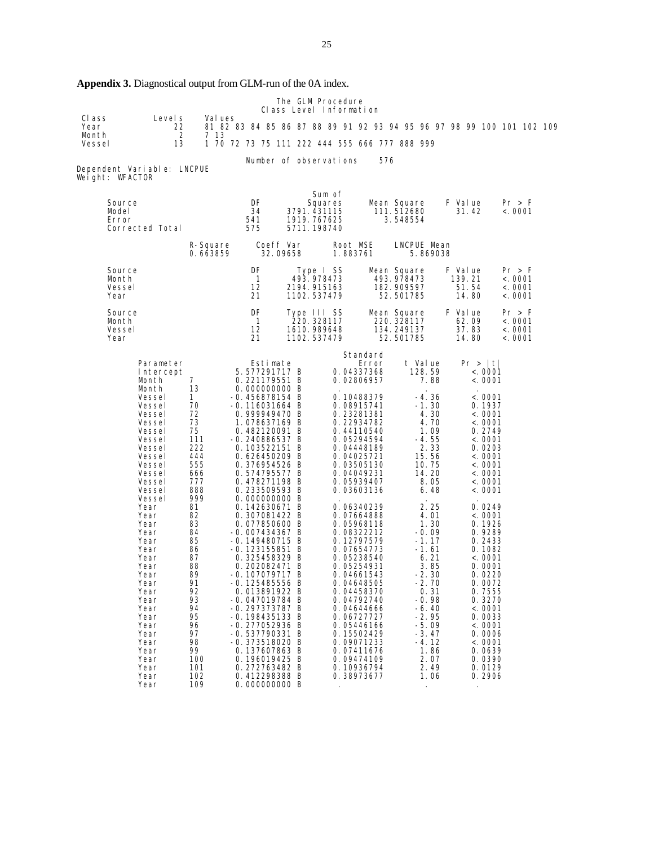The GLM Procedure Class Level Information<br>Class Level Information Class Levels Values<br>
Year 22 81 82 Year 20 81 82 83 84 85 86 87 88 89 91 92 93 94 95 96 97 98 99 100 101 102 109<br>2 7 13 Month 2<br>Vessel 13 1 70 72 73 75 111 222 444 555 666 777 888 999 Number of observations 576 Dependent Variable: LNCPUE Weight: WFACTOR Sum of Source the Source of the Squares of the Squares of Source of the Squares of the Square of the Source of the Source of the Source of the Source of the Source of the Source of the Source of the Source of the Source of Source DF Squares Mean Square F Value Pr > F Model 34 3791.431115 111.512680 31.42 <.0001 Error 541 1919.767625 3.548554 **Corrected Total** R-Square Coeff Var Root MSE LNCPUE Mean<br>0.663859 32.09658 1.883761 5.869038 0.663859 Source DF Type I SS Mean Square F Value Pr > F Month 1 493.978473 493.978473 139.21 <.0001 Vessel 12 2194.915163 182.909597 51.54 <.0001 Year 21 1102.537479 52.501785 14.80 <.0001 Source DF Type III SS Mean Square F Value Pr > F Month 1 220.328117 220.328117 62.09 <.0001 Vessel 12 1610.989648 134.249137 37.83 <.0001 1102.537479 Standard Parameter Estimate Error t Value Pr > |t| Intercept 5.577291717 B 0.04337368 128.59 <.0001 Month 7 0.221179551 B<br>Month 13 0.00000000 B Month 13 0.000000000 B . . . Vessel 1 -0.456878154 B 0.10488379 -4.36 <.0001 Vessel 70 -0.116031664 B 0.08915741 -1.30 0.1937<br>Vessel 72 0.999949470 B 0.23281381 4.30 <.0001 Vessel 72 0.999949470 B 0.23281381 4.30 <.0001 Vessel 73 1.078637169 B 0.22934782 4.70 <.0001 Vessel 75 0.482120091 B 0.44110540 1.09 0.2749 Vessel 111 -0.240886537 B 0.05294594 -4.55 <.0001 Vessel 222 0.103522151 B 0.04448189 2.33 0.0203 Vessel 444 0.626450209 B 0.04025721 15.56 <.0001 Vessel 555 0.376954526 B 0.03505130 10.75 <.0001 Vessel 666 0.574795577 B 0.04049231 14.20 <.0001 Vessel 777 0.478271198 B 0.05939407 8.05 <.0001 Vessel 888 0.233509593 B<br>Vessel 999 0.000000000 B Vessel 999 0.000000000 B . . . Year 81 0.142630671 B 0.06340239 2.25 0.0249 Vear 82 0.307081422 B 0.07664888 4.01 <.0001<br>Year 83 0.077850600 B 0.05968118 1.30 0.1926<br>Year 84 -0.007434367 B 0.08322212 -0.09 0.9289 Year 83 0.077850600 B 0.05968118 1.30 0.1926 Year 84 -0.007434367 B 0.08322212 -0.09 0.9289 Vear 85 -0.149480715 B 0.12797579 -1.17 0.2433<br>
Year 86 -0.123155851 B 0.07654773 -1.61 0.1082<br>
Year 87 0.325458329 B 0.05238540 6.21 <.0001 Year 86 -0.123155851 B 0.07654773 -1.61 0.1082 Year 87 0.325458329 B 0.05238540 6.21 <.0001 Year 88 0.202082471 B 0.05254931 3.85 0.0001 Year 89 -0.107079717 B 0.04661543 -2.30 0.0220 Year 91 -0.125485556 B 0.04648505 -2.70 0.0072 Year 92 0.013891922 B 0.04458370 0.31 0.7555 Year 93 -0.047019784 B 0.04792740 -0.98 0.3270 Year 94 -0.297373787 B 0.04644666 -6.40 <.0001 Vear 95 -0.198435133 B 0.06727727 -2.95 0.0033<br>1987 96 -0.277052936 B 0.05446166 -5.09 <.0001<br>1988 97 -0.537790331 B 0.15502429 -3.47 0.0006 Year 96 -0.277052936 B 0.05446166 -5.09 <.0001 Year 97 -0.537790331 B 0.15502429 -3.47 0.0006 Year 98 -0.373518020 B 0.09071233 -4.12 <.0001 Year 99 0.137607863 B 0.07411676 1.86 0.0639 Year 100 0.196019425 B 0.09474109 2.07 0.0390 Year 101 0.272763482 B 0.10936794 2.49 0.0129 Year 102 0.412298388 B<br>Year 109 0.000000000 B 0.000000000 B

**Appendix 3.** Diagnostical output from GLM-run of the 0A index.